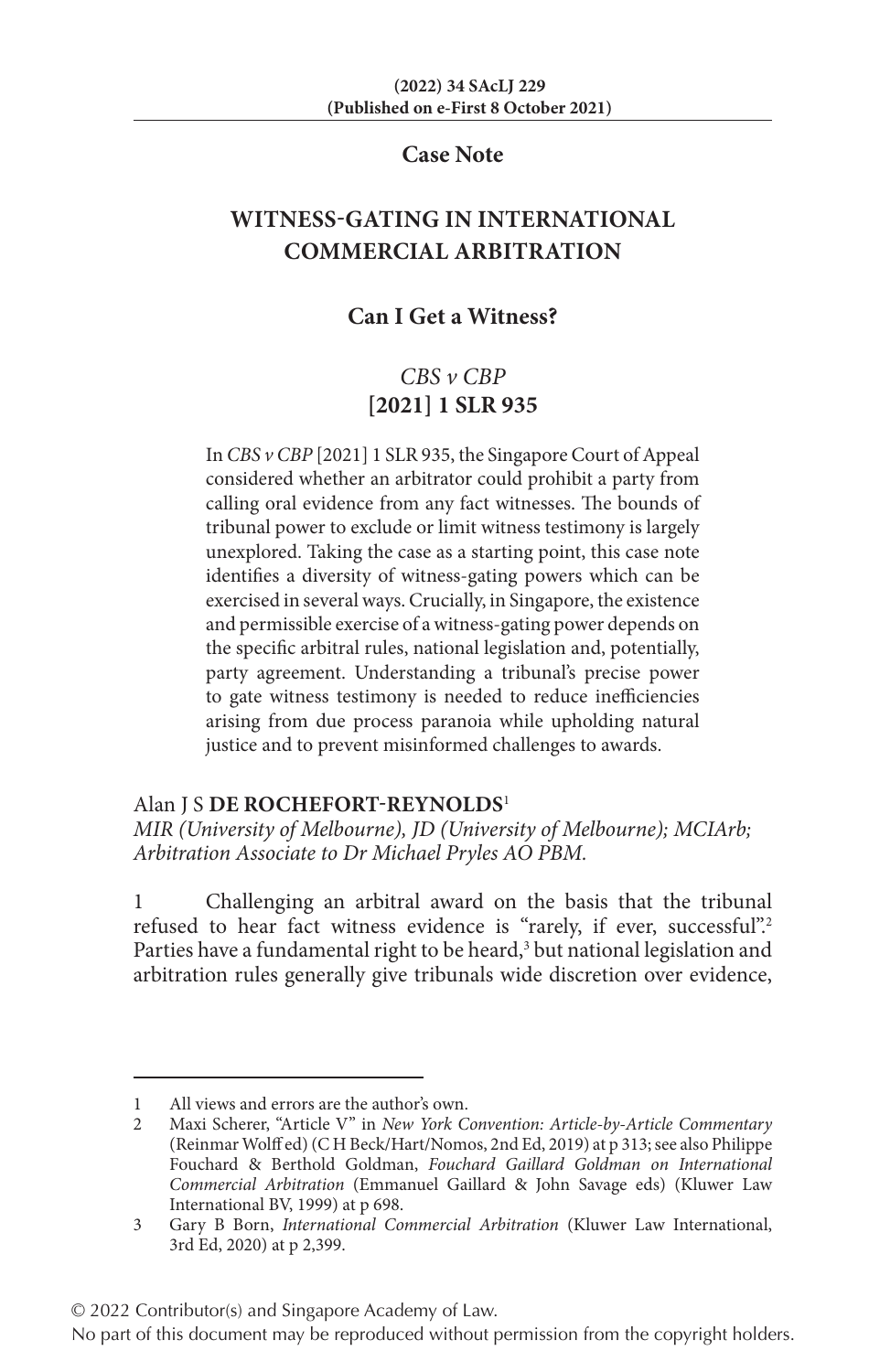## **Case Note**

# **WITNESS-GATING IN INTERNATIONAL COMMERCIAL ARBITRATION**

## **Can I Get a Witness?**

## *CBS v CBP* **[2021] 1 SLR 935**

In *CBS v CBP* [2021] 1 SLR 935, the Singapore Court of Appeal considered whether an arbitrator could prohibit a party from calling oral evidence from any fact witnesses. The bounds of tribunal power to exclude or limit witness testimony is largely unexplored. Taking the case as a starting point, this case note identifies a diversity of witness-gating powers which can be exercised in several ways. Crucially, in Singapore, the existence and permissible exercise of a witness-gating power depends on the specific arbitral rules, national legislation and, potentially, party agreement. Understanding a tribunal's precise power to gate witness testimony is needed to reduce inefficiencies arising from due process paranoia while upholding natural justice and to prevent misinformed challenges to awards.

## Alan J S **DE ROCHEFORT-REYNOLDS**<sup>1</sup>

*MIR (University of Melbourne), JD (University of Melbourne); MCIArb; Arbitration Associate to Dr Michael Pryles AO PBM.*

1 Challenging an arbitral award on the basis that the tribunal refused to hear fact witness evidence is "rarely, if ever, successful".<sup>2</sup> Parties have a fundamental right to be heard,<sup>3</sup> but national legislation and arbitration rules generally give tribunals wide discretion over evidence,

<sup>1</sup> All views and errors are the author's own.

<sup>2</sup> Maxi Scherer, "Article V" in *New York Convention: Article-by-Article Commentary* (Reinmar Wolff ed) (C H Beck/Hart/Nomos, 2nd Ed, 2019) at p 313; see also Philippe Fouchard & Berthold Goldman, *Fouchard Gaillard Goldman on International Commercial Arbitration* (Emmanuel Gaillard & John Savage eds) (Kluwer Law International BV, 1999) at p 698.

<sup>3</sup> Gary B Born, *International Commercial Arbitration* (Kluwer Law International, 3rd Ed, 2020) at p 2,399.

<sup>© 2022</sup> Contributor(s) and Singapore Academy of Law.

No part of this document may be reproduced without permission from the copyright holders.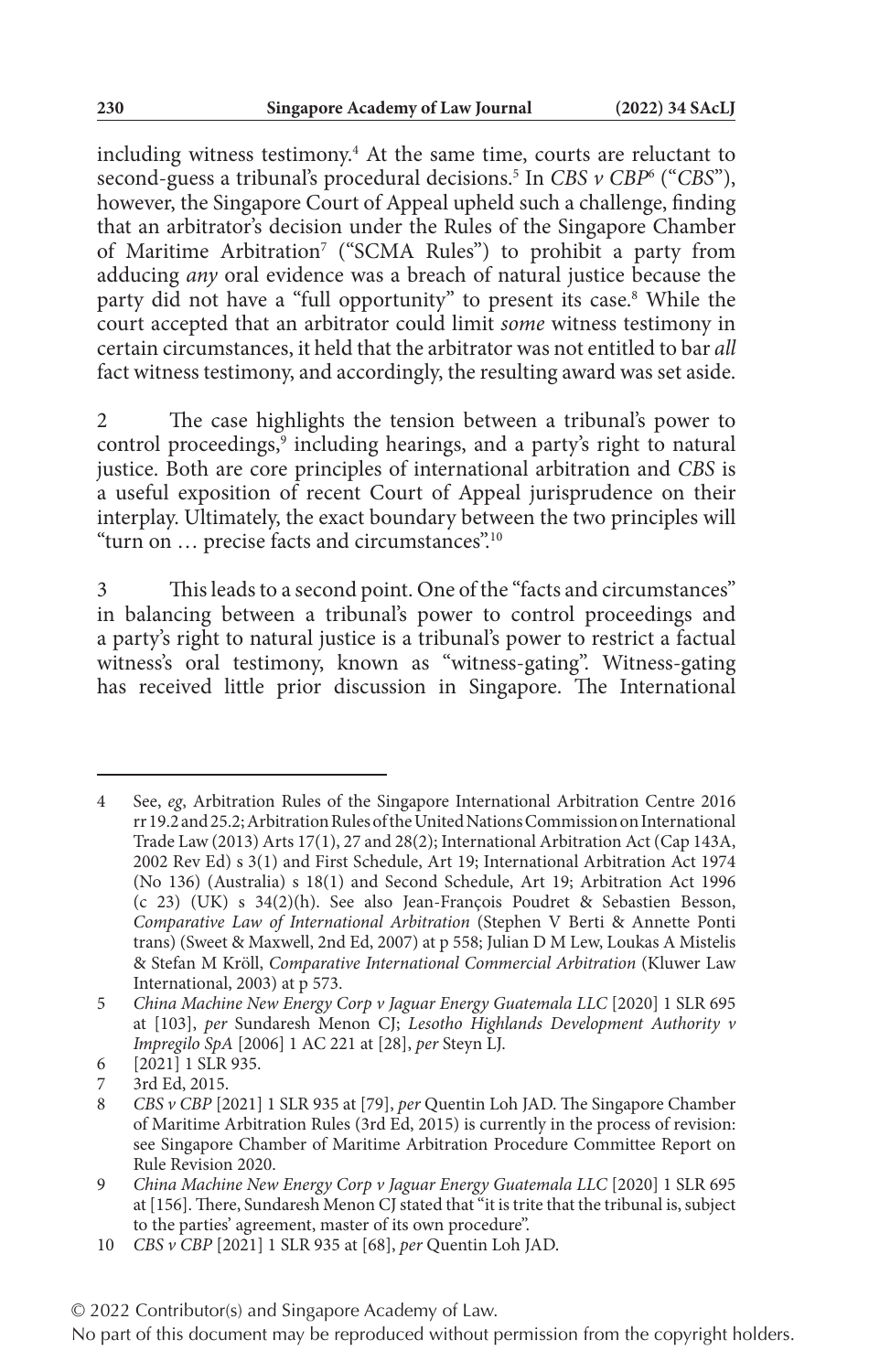including witness testimony.4 At the same time, courts are reluctant to second-guess a tribunal's procedural decisions.5 In *CBS v CBP*<sup>6</sup> ("*CBS*"), however, the Singapore Court of Appeal upheld such a challenge, finding that an arbitrator's decision under the Rules of the Singapore Chamber of Maritime Arbitration7 ("SCMA Rules") to prohibit a party from adducing *any* oral evidence was a breach of natural justice because the party did not have a "full opportunity" to present its case.<sup>8</sup> While the court accepted that an arbitrator could limit *some* witness testimony in certain circumstances, it held that the arbitrator was not entitled to bar *all* fact witness testimony, and accordingly, the resulting award was set aside.

2 The case highlights the tension between a tribunal's power to control proceedings,<sup>9</sup> including hearings, and a party's right to natural justice. Both are core principles of international arbitration and *CBS* is a useful exposition of recent Court of Appeal jurisprudence on their interplay. Ultimately, the exact boundary between the two principles will "turn on … precise facts and circumstances".10

3 This leads to a second point. One of the "facts and circumstances" in balancing between a tribunal's power to control proceedings and a party's right to natural justice is a tribunal's power to restrict a factual witness's oral testimony, known as "witness-gating". Witness-gating has received little prior discussion in Singapore. The International

<sup>4</sup> See, *eg*, Arbitration Rules of the Singapore International Arbitration Centre 2016 rr 19.2 and 25.2; Arbitration Rules of the United Nations Commission on International Trade Law (2013) Arts 17(1), 27 and 28(2); International Arbitration Act (Cap 143A, 2002 Rev Ed) s 3(1) and First Schedule, Art 19; International Arbitration Act 1974 (No 136) (Australia) s 18(1) and Second Schedule, Art 19; Arbitration Act 1996 (c 23) (UK) s 34(2)(h). See also Jean-François Poudret & Sebastien Besson, *Comparative Law of International Arbitration* (Stephen V Berti & Annette Ponti trans) (Sweet & Maxwell, 2nd Ed, 2007) at p 558; Julian D M Lew, Loukas A Mistelis & Stefan M Kröll, *Comparative International Commercial Arbitration* (Kluwer Law International, 2003) at p 573.

<sup>5</sup> *China Machine New Energy Corp v Jaguar Energy Guatemala LLC* [2020] 1 SLR 695 at [103], *per* Sundaresh Menon CJ; *Lesotho Highlands Development Authority v Impregilo SpA* [2006] 1 AC 221 at [28], *per* Steyn LJ.

<sup>6 [2021] 1</sup> SLR 935.<br>7 3rd Ed. 2015.

<sup>7 3</sup>rd Ed, 2015.<br>8 CBS v CBP [2

<sup>8</sup> *CBS v CBP* [2021] 1 SLR 935 at [79], *per* Quentin Loh JAD. The Singapore Chamber of Maritime Arbitration Rules (3rd Ed, 2015) is currently in the process of revision: see Singapore Chamber of Maritime Arbitration Procedure Committee Report on Rule Revision 2020.

<sup>9</sup> China Machine New Energy Corp v Jaguar Energy Guatemala LLC [2020] 1 SLR 695 at [156]. There, Sundaresh Menon CJ stated that "it is trite that the tribunal is, subject to the parties' agreement, master of its own procedure".

<sup>10</sup> *CBS v CBP* [2021] 1 SLR 935 at [68], *per* Quentin Loh JAD.

No part of this document may be reproduced without permission from the copyright holders.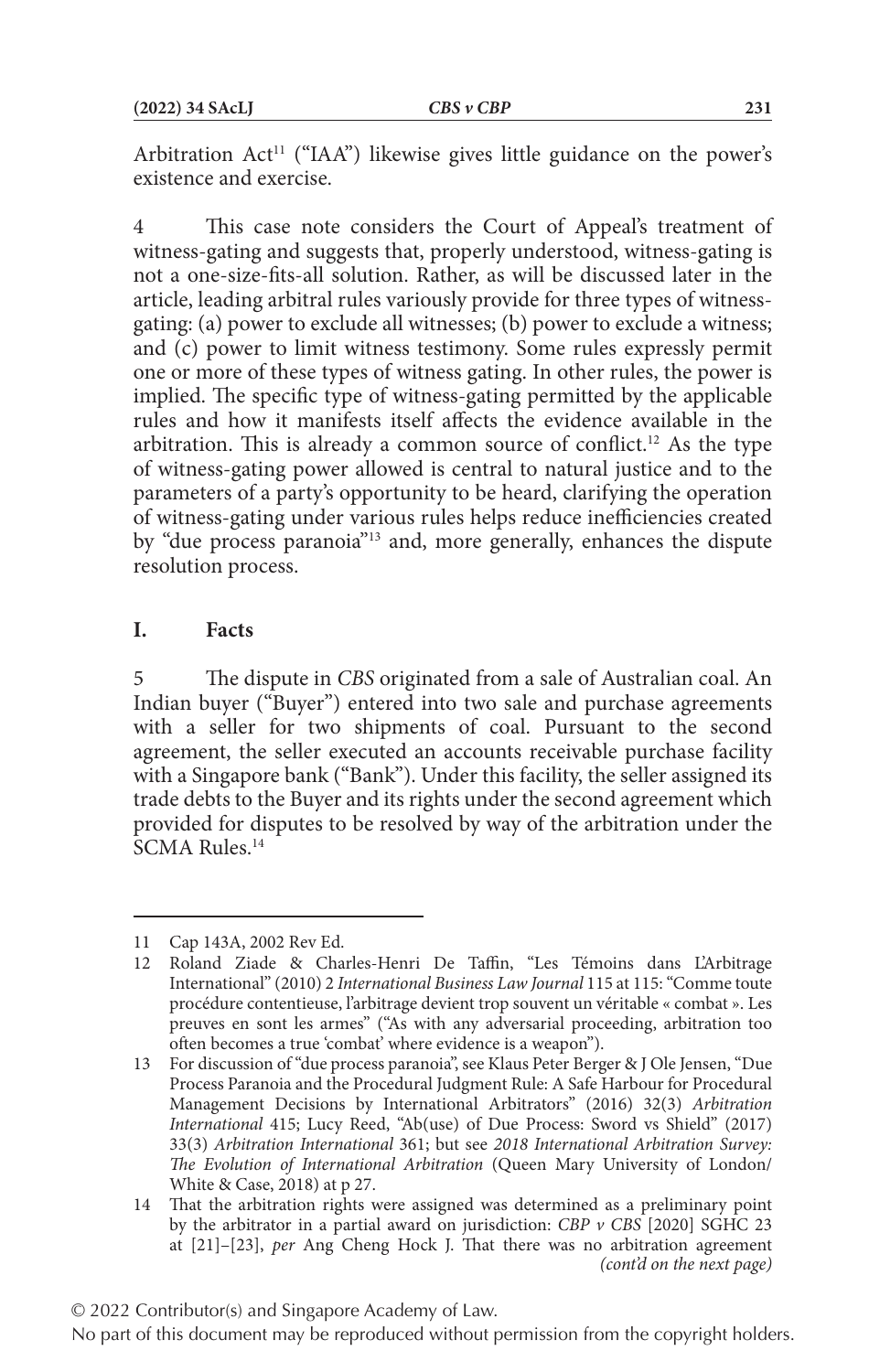Arbitration Act<sup>11</sup> ("IAA") likewise gives little guidance on the power's existence and exercise.

4 This case note considers the Court of Appeal's treatment of witness-gating and suggests that, properly understood, witness-gating is not a one-size-fits-all solution. Rather, as will be discussed later in the article, leading arbitral rules variously provide for three types of witnessgating: (a) power to exclude all witnesses; (b) power to exclude a witness; and (c) power to limit witness testimony. Some rules expressly permit one or more of these types of witness gating. In other rules, the power is implied. The specific type of witness-gating permitted by the applicable rules and how it manifests itself affects the evidence available in the arbitration. This is already a common source of conflict.<sup>12</sup> As the type of witness-gating power allowed is central to natural justice and to the parameters of a party's opportunity to be heard, clarifying the operation of witness-gating under various rules helps reduce inefficiencies created by "due process paranoia"13 and, more generally, enhances the dispute resolution process.

## **I. Facts**

5 The dispute in *CBS* originated from a sale of Australian coal. An Indian buyer ("Buyer") entered into two sale and purchase agreements with a seller for two shipments of coal. Pursuant to the second agreement, the seller executed an accounts receivable purchase facility with a Singapore bank ("Bank"). Under this facility, the seller assigned its trade debts to the Buyer and its rights under the second agreement which provided for disputes to be resolved by way of the arbitration under the SCMA Rules.14

<sup>11</sup> Cap 143A, 2002 Rev Ed.

<sup>12</sup> Roland Ziade & Charles-Henri De Taffin, "Les Témoins dans L'Arbitrage International" (2010) 2 *International Business Law Journal* 115 at 115: "Comme toute procédure contentieuse, l'arbitrage devient trop souvent un véritable « combat ». Les preuves en sont les armes" ("As with any adversarial proceeding, arbitration too often becomes a true 'combat' where evidence is a weapon").

<sup>13</sup> For discussion of "due process paranoia", see Klaus Peter Berger & J Ole Jensen, "Due Process Paranoia and the Procedural Judgment Rule: A Safe Harbour for Procedural Management Decisions by International Arbitrators" (2016) 32(3) *Arbitration International* 415; Lucy Reed, "Ab(use) of Due Process: Sword vs Shield" (2017) 33(3) *Arbitration International* 361; but see *2018 International Arbitration Survey: The Evolution of International Arbitration* (Queen Mary University of London/ White & Case, 2018) at p 27.

<sup>14</sup> That the arbitration rights were assigned was determined as a preliminary point by the arbitrator in a partial award on jurisdiction: *CBP v CBS* [2020] SGHC 23 at [21]–[23], *per* Ang Cheng Hock J. That there was no arbitration agreement *(cont'd on the next page)*

No part of this document may be reproduced without permission from the copyright holders.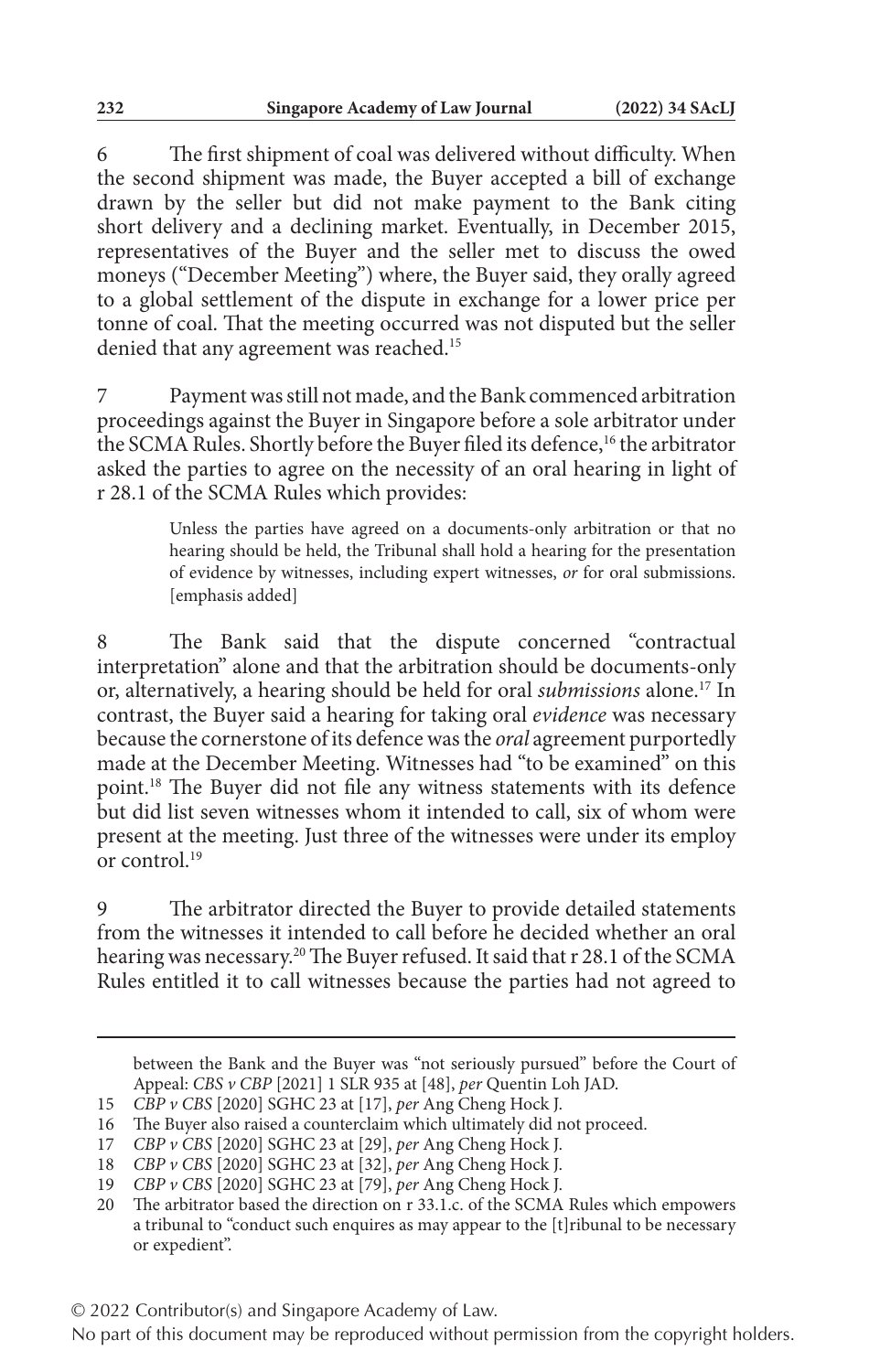6 The first shipment of coal was delivered without difficulty. When the second shipment was made, the Buyer accepted a bill of exchange drawn by the seller but did not make payment to the Bank citing short delivery and a declining market. Eventually, in December 2015, representatives of the Buyer and the seller met to discuss the owed moneys ("December Meeting") where, the Buyer said, they orally agreed to a global settlement of the dispute in exchange for a lower price per tonne of coal. That the meeting occurred was not disputed but the seller denied that any agreement was reached.<sup>15</sup>

Payment was still not made, and the Bank commenced arbitration proceedings against the Buyer in Singapore before a sole arbitrator under the SCMA Rules. Shortly before the Buyer filed its defence,<sup>16</sup> the arbitrator asked the parties to agree on the necessity of an oral hearing in light of r 28.1 of the SCMA Rules which provides:

> Unless the parties have agreed on a documents-only arbitration or that no hearing should be held, the Tribunal shall hold a hearing for the presentation of evidence by witnesses, including expert witnesses, *or* for oral submissions. [emphasis added]

8 The Bank said that the dispute concerned "contractual interpretation" alone and that the arbitration should be documents-only or, alternatively, a hearing should be held for oral *submissions* alone.17 In contrast, the Buyer said a hearing for taking oral *evidence* was necessary because the cornerstone of its defence was the *oral* agreement purportedly made at the December Meeting. Witnesses had "to be examined" on this point.18 The Buyer did not file any witness statements with its defence but did list seven witnesses whom it intended to call, six of whom were present at the meeting. Just three of the witnesses were under its employ or control.19

The arbitrator directed the Buyer to provide detailed statements from the witnesses it intended to call before he decided whether an oral hearing was necessary.<sup>20</sup> The Buyer refused. It said that r 28.1 of the SCMA Rules entitled it to call witnesses because the parties had not agreed to

between the Bank and the Buyer was "not seriously pursued" before the Court of Appeal: *CBS v CBP* [2021] 1 SLR 935 at [48], *per* Quentin Loh JAD.

<sup>15</sup> *CBP v CBS* [2020] SGHC 23 at [17], *per* Ang Cheng Hock J.

<sup>16</sup> The Buyer also raised a counterclaim which ultimately did not proceed.

<sup>17</sup> *CBP v CBS* [2020] SGHC 23 at [29], *per* Ang Cheng Hock J.

<sup>18</sup> *CBP v CBS* [2020] SGHC 23 at [32], *per* Ang Cheng Hock J.

<sup>19</sup> *CBP v CBS* [2020] SGHC 23 at [79], *per* Ang Cheng Hock J.

<sup>20</sup> The arbitrator based the direction on r 33.1.c. of the SCMA Rules which empowers a tribunal to "conduct such enquires as may appear to the [t]ribunal to be necessary or expedient".

No part of this document may be reproduced without permission from the copyright holders.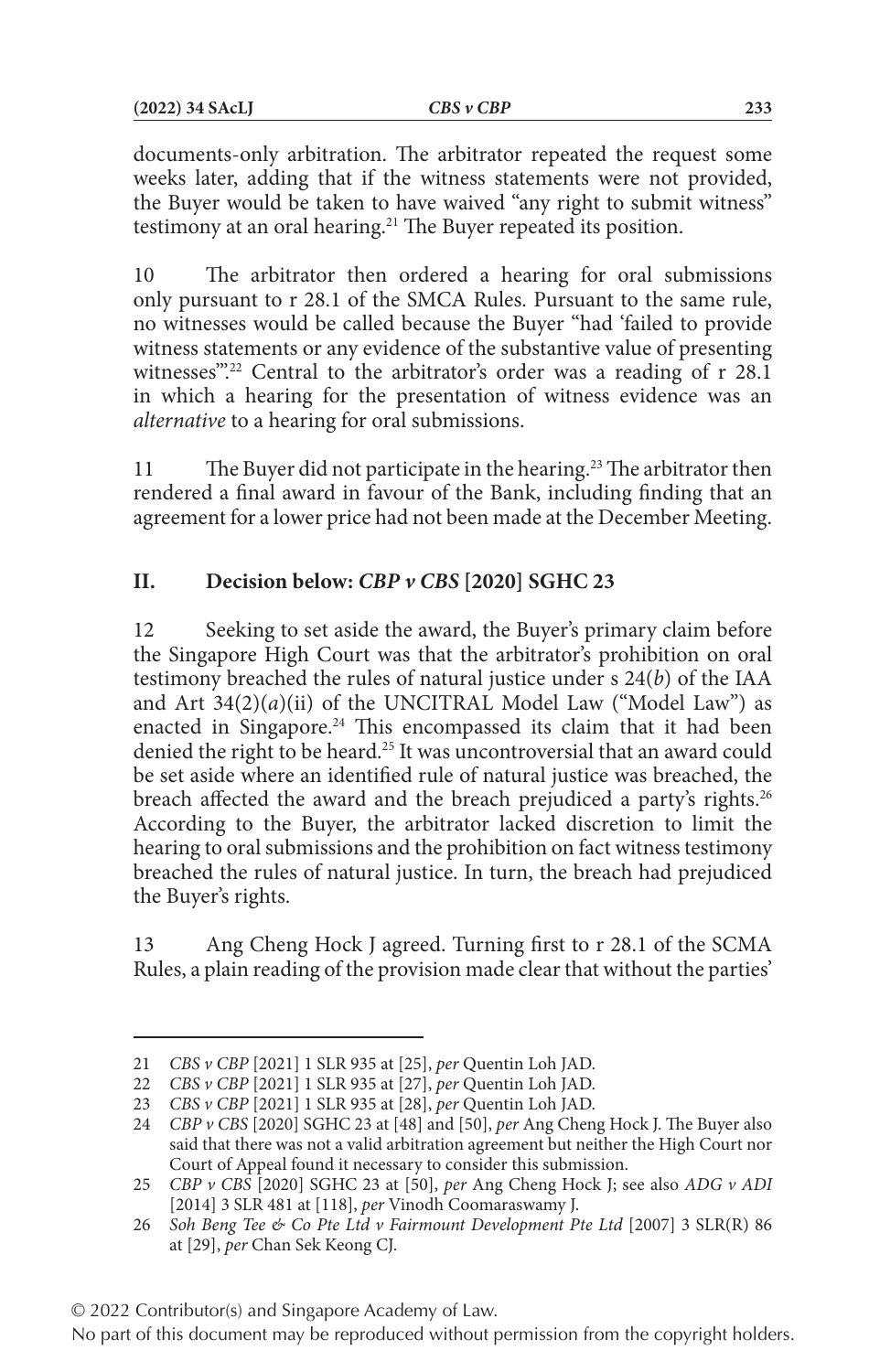documents-only arbitration. The arbitrator repeated the request some weeks later, adding that if the witness statements were not provided, the Buyer would be taken to have waived "any right to submit witness" testimony at an oral hearing.<sup>21</sup> The Buyer repeated its position.

10 The arbitrator then ordered a hearing for oral submissions only pursuant to r 28.1 of the SMCA Rules. Pursuant to the same rule, no witnesses would be called because the Buyer "had 'failed to provide witness statements or any evidence of the substantive value of presenting witnesses".<sup>22</sup> Central to the arbitrator's order was a reading of r 28.1 in which a hearing for the presentation of witness evidence was an *alternative* to a hearing for oral submissions.

11 The Buyer did not participate in the hearing.<sup>23</sup> The arbitrator then rendered a final award in favour of the Bank, including finding that an agreement for a lower price had not been made at the December Meeting.

## **II. Decision below:** *CBP v CBS* **[2020] SGHC 23**

12 Seeking to set aside the award, the Buyer's primary claim before the Singapore High Court was that the arbitrator's prohibition on oral testimony breached the rules of natural justice under s 24(*b*) of the IAA and Art 34(2)(*a*)(ii) of the UNCITRAL Model Law ("Model Law") as enacted in Singapore.<sup>24</sup> This encompassed its claim that it had been denied the right to be heard.<sup>25</sup> It was uncontroversial that an award could be set aside where an identified rule of natural justice was breached, the breach affected the award and the breach prejudiced a party's rights.<sup>26</sup> According to the Buyer, the arbitrator lacked discretion to limit the hearing to oral submissions and the prohibition on fact witness testimony breached the rules of natural justice. In turn, the breach had prejudiced the Buyer's rights.

13 Ang Cheng Hock J agreed. Turning first to r 28.1 of the SCMA Rules, a plain reading of the provision made clear that without the parties'

<sup>21</sup> *CBS v CBP* [2021] 1 SLR 935 at [25], *per* Quentin Loh JAD.

<sup>22</sup> *CBS v CBP* [2021] 1 SLR 935 at [27], *per* Quentin Loh JAD.

<sup>23</sup> *CBS v CBP* [2021] 1 SLR 935 at [28], *per* Quentin Loh JAD.

<sup>24</sup> *CBP v CBS* [2020] SGHC 23 at [48] and [50], *per* Ang Cheng Hock J. The Buyer also said that there was not a valid arbitration agreement but neither the High Court nor Court of Appeal found it necessary to consider this submission.

<sup>25</sup> *CBP v CBS* [2020] SGHC 23 at [50], *per* Ang Cheng Hock J; see also *ADG v ADI* [2014] 3 SLR 481 at [118], *per* Vinodh Coomaraswamy J.

<sup>26</sup> *Soh Beng Tee & Co Pte Ltd v Fairmount Development Pte Ltd* [2007] 3 SLR(R) 86 at [29], *per* Chan Sek Keong CJ.

<sup>© 2022</sup> Contributor(s) and Singapore Academy of Law.

No part of this document may be reproduced without permission from the copyright holders.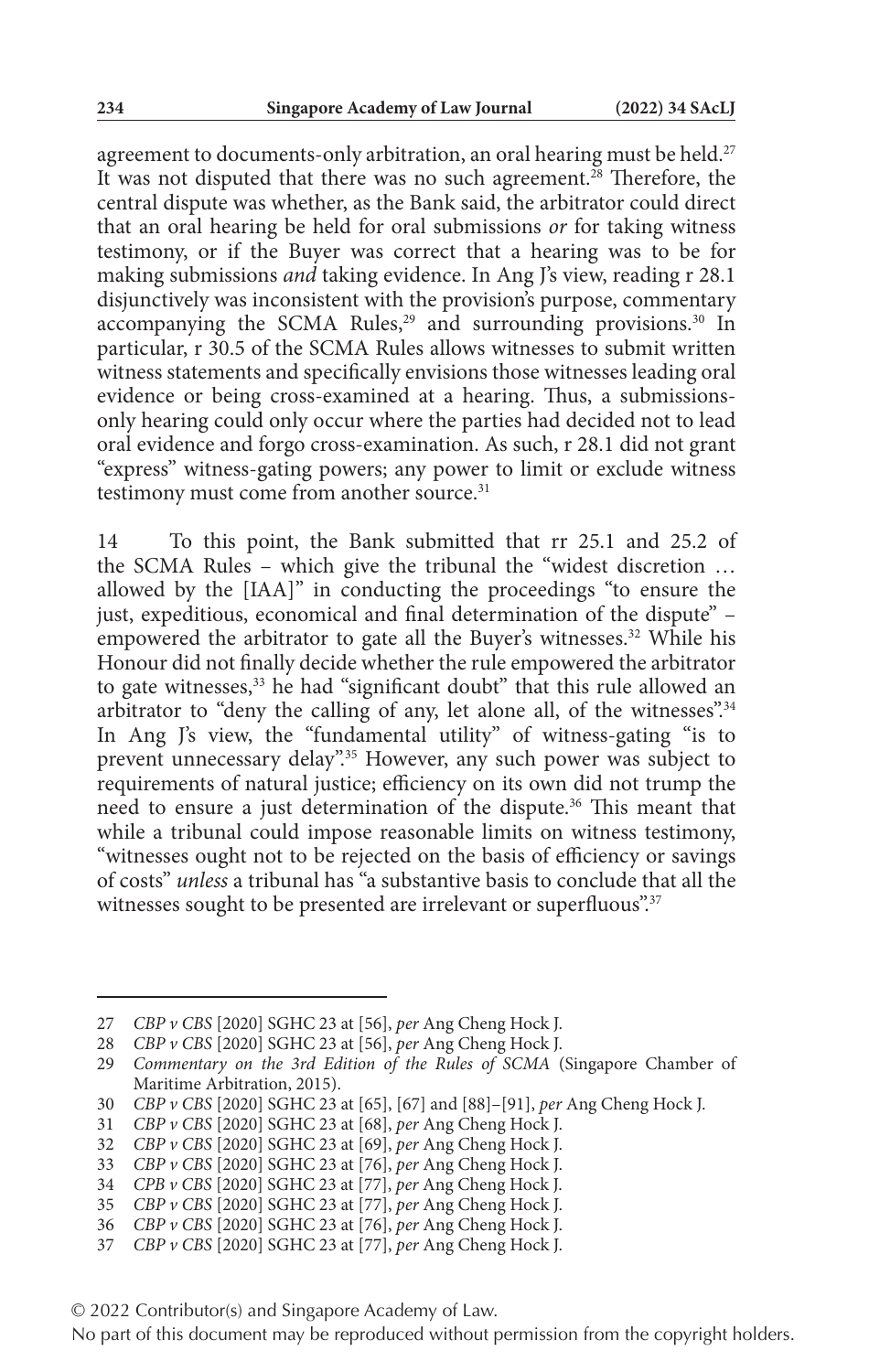agreement to documents-only arbitration, an oral hearing must be held.<sup>27</sup> It was not disputed that there was no such agreement.<sup>28</sup> Therefore, the central dispute was whether, as the Bank said, the arbitrator could direct that an oral hearing be held for oral submissions *or* for taking witness testimony, or if the Buyer was correct that a hearing was to be for making submissions *and* taking evidence. In Ang J's view, reading r 28.1 disjunctively was inconsistent with the provision's purpose, commentary accompanying the SCMA Rules,<sup>29</sup> and surrounding provisions.<sup>30</sup> In particular, r 30.5 of the SCMA Rules allows witnesses to submit written witness statements and specifically envisions those witnesses leading oral evidence or being cross-examined at a hearing. Thus, a submissionsonly hearing could only occur where the parties had decided not to lead oral evidence and forgo cross-examination. As such, r 28.1 did not grant "express" witness-gating powers; any power to limit or exclude witness testimony must come from another source.<sup>31</sup>

14 To this point, the Bank submitted that rr 25.1 and 25.2 of the SCMA Rules - which give the tribunal the "widest discretion ... allowed by the [IAA]" in conducting the proceedings "to ensure the just, expeditious, economical and final determination of the dispute" – empowered the arbitrator to gate all the Buyer's witnesses.<sup>32</sup> While his Honour did not finally decide whether the rule empowered the arbitrator to gate witnesses,<sup>33</sup> he had "significant doubt" that this rule allowed an arbitrator to "deny the calling of any, let alone all, of the witnesses".<sup>34</sup> In Ang J's view, the "fundamental utility" of witness-gating "is to prevent unnecessary delay".<sup>35</sup> However, any such power was subject to requirements of natural justice; efficiency on its own did not trump the need to ensure a just determination of the dispute.<sup>36</sup> This meant that while a tribunal could impose reasonable limits on witness testimony, "witnesses ought not to be rejected on the basis of efficiency or savings of costs" *unless* a tribunal has "a substantive basis to conclude that all the witnesses sought to be presented are irrelevant or superfluous".<sup>37</sup>

- 32 *CBP v CBS* [2020] SGHC 23 at [69], *per* Ang Cheng Hock J.
- 33 *CBP v CBS* [2020] SGHC 23 at [76], *per* Ang Cheng Hock J.
- 34 *CPB v CBS* [2020] SGHC 23 at [77], *per* Ang Cheng Hock J.
- 35 *CBP v CBS* [2020] SGHC 23 at [77], *per* Ang Cheng Hock J.
- 36 *CBP v CBS* [2020] SGHC 23 at [76], *per* Ang Cheng Hock J.

<sup>27</sup> *CBP v CBS* [2020] SGHC 23 at [56], *per* Ang Cheng Hock J.

<sup>28</sup> *CBP v CBS* [2020] SGHC 23 at [56], *per* Ang Cheng Hock J.

<sup>29</sup> *Commentary on the 3rd Edition of the Rules of SCMA* (Singapore Chamber of Maritime Arbitration, 2015).

<sup>30</sup> *CBP v CBS* [2020] SGHC 23 at [65], [67] and [88]–[91], *per* Ang Cheng Hock J.

<sup>31</sup> *CBP v CBS* [2020] SGHC 23 at [68], *per* Ang Cheng Hock J.

<sup>37</sup> *CBP v CBS* [2020] SGHC 23 at [77], *per* Ang Cheng Hock J.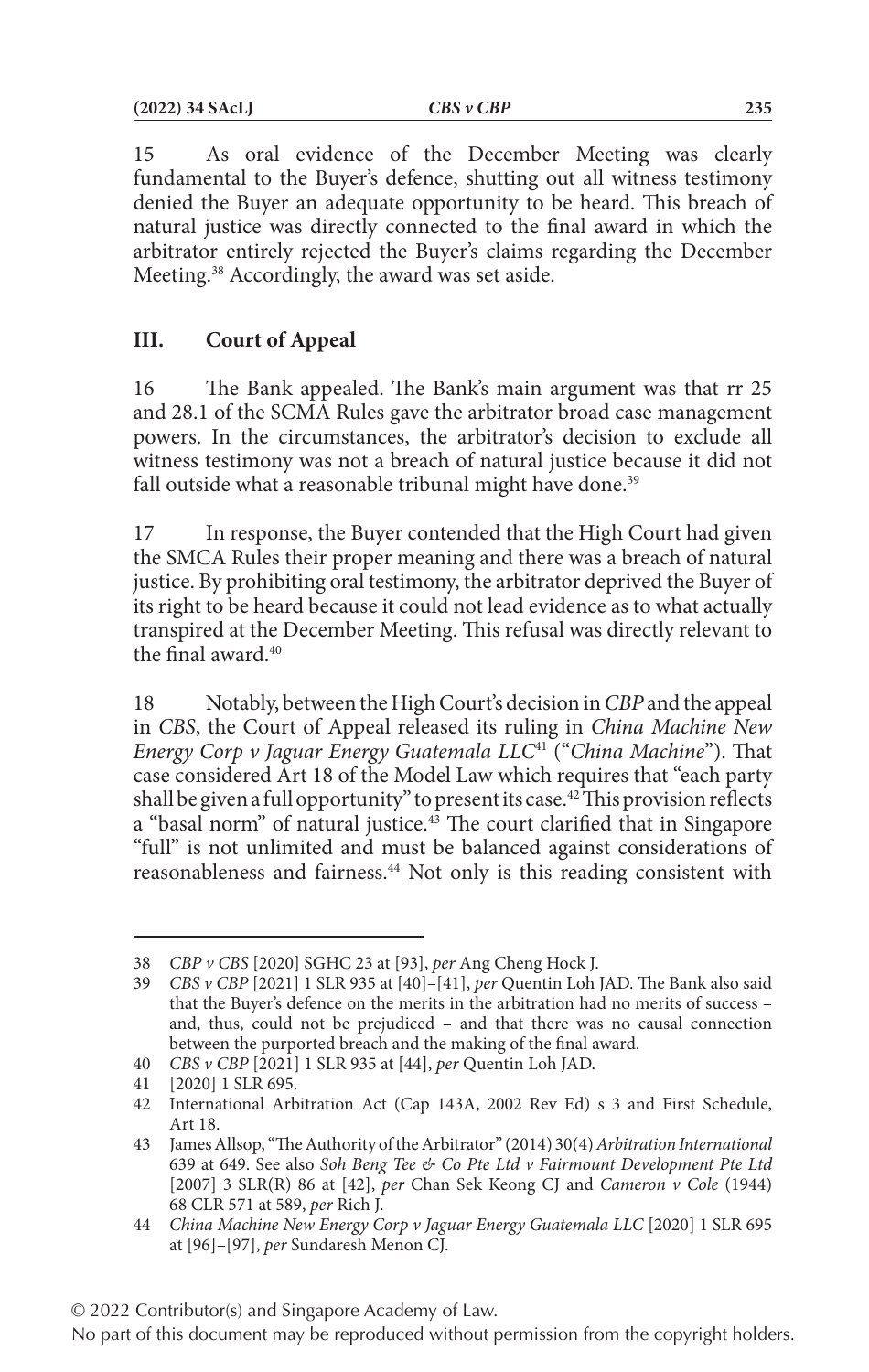15 As oral evidence of the December Meeting was clearly fundamental to the Buyer's defence, shutting out all witness testimony denied the Buyer an adequate opportunity to be heard. This breach of natural justice was directly connected to the final award in which the arbitrator entirely rejected the Buyer's claims regarding the December Meeting.38 Accordingly, the award was set aside.

## **III. Court of Appeal**

16 The Bank appealed. The Bank's main argument was that rr 25 and 28.1 of the SCMA Rules gave the arbitrator broad case management powers. In the circumstances, the arbitrator's decision to exclude all witness testimony was not a breach of natural justice because it did not fall outside what a reasonable tribunal might have done.<sup>39</sup>

17 In response, the Buyer contended that the High Court had given the SMCA Rules their proper meaning and there was a breach of natural justice. By prohibiting oral testimony, the arbitrator deprived the Buyer of its right to be heard because it could not lead evidence as to what actually transpired at the December Meeting. This refusal was directly relevant to the final award.40

18 Notably, between the High Court's decision in *CBP* and the appeal in *CBS*, the Court of Appeal released its ruling in *China Machine New Energy Corp v Jaguar Energy Guatemala LLC*41 ("*China Machine*"). That case considered Art 18 of the Model Law which requires that "each party shall be given a full opportunity" to present its case.<sup>42</sup> This provision reflects a "basal norm" of natural justice.<sup>43</sup> The court clarified that in Singapore "full" is not unlimited and must be balanced against considerations of reasonableness and fairness.<sup>44</sup> Not only is this reading consistent with

<sup>38</sup> *CBP v CBS* [2020] SGHC 23 at [93], *per* Ang Cheng Hock J.

<sup>39</sup> *CBS v CBP* [2021] 1 SLR 935 at [40]–[41], *per* Quentin Loh JAD. The Bank also said that the Buyer's defence on the merits in the arbitration had no merits of success – and, thus, could not be prejudiced – and that there was no causal connection between the purported breach and the making of the final award.

<sup>40</sup> *CBS v CBP* [2021] 1 SLR 935 at [44], *per* Quentin Loh JAD.

<sup>41</sup> [2020] 1 SLR 695.

<sup>42</sup> International Arbitration Act (Cap 143A, 2002 Rev Ed) s 3 and First Schedule, Art 18.

<sup>43</sup> James Allsop, "The Authority of the Arbitrator" (2014) 30(4) *Arbitration International* 639 at 649. See also *Soh Beng Tee & Co Pte Ltd v Fairmount Development Pte Ltd* [2007] 3 SLR(R) 86 at [42], *per* Chan Sek Keong CJ and *Cameron v Cole* (1944) 68 CLR 571 at 589, *per* Rich J.

<sup>44</sup> *China Machine New Energy Corp v Jaguar Energy Guatemala LLC* [2020] 1 SLR 695 at [96]–[97], *per* Sundaresh Menon CJ.

<sup>© 2022</sup> Contributor(s) and Singapore Academy of Law.

No part of this document may be reproduced without permission from the copyright holders.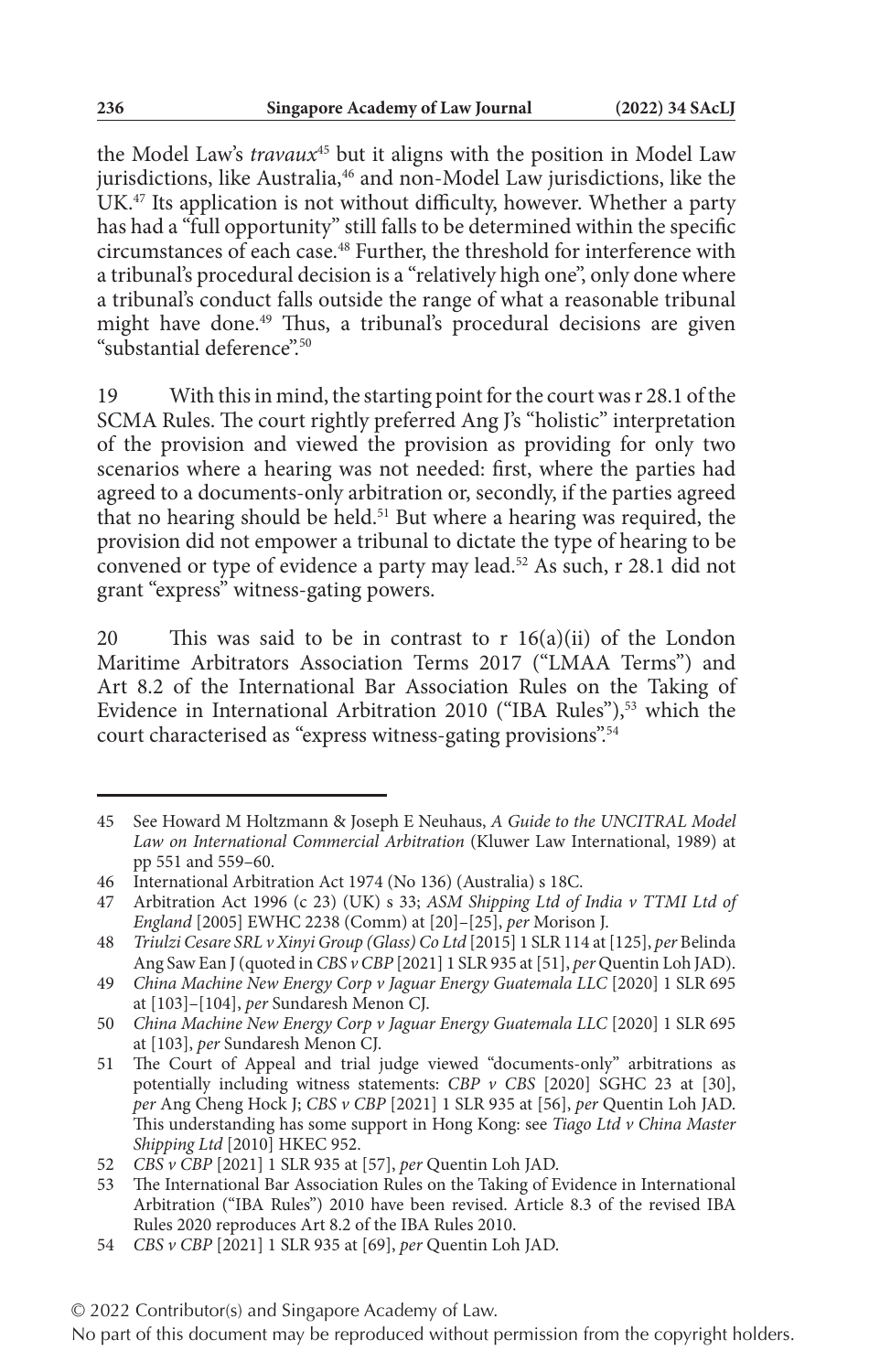the Model Law's *travaux*45 but it aligns with the position in Model Law jurisdictions, like Australia,<sup>46</sup> and non-Model Law jurisdictions, like the UK.<sup>47</sup> Its application is not without difficulty, however. Whether a party has had a "full opportunity" still falls to be determined within the specific circumstances of each case.48 Further, the threshold for interference with a tribunal's procedural decision is a "relatively high one", only done where a tribunal's conduct falls outside the range of what a reasonable tribunal might have done.<sup>49</sup> Thus, a tribunal's procedural decisions are given "substantial deference"<sup>50</sup>

19 With this in mind, the starting point for the court was r 28.1 of the SCMA Rules. The court rightly preferred Ang J's "holistic" interpretation of the provision and viewed the provision as providing for only two scenarios where a hearing was not needed: first, where the parties had agreed to a documents-only arbitration or, secondly, if the parties agreed that no hearing should be held.51 But where a hearing was required, the provision did not empower a tribunal to dictate the type of hearing to be convened or type of evidence a party may lead.<sup>52</sup> As such, r 28.1 did not grant "express" witness-gating powers.

20 This was said to be in contrast to r 16(a)(ii) of the London Maritime Arbitrators Association Terms 2017 ("LMAA Terms") and Art 8.2 of the International Bar Association Rules on the Taking of Evidence in International Arbitration 2010 ("IBA Rules"),<sup>53</sup> which the court characterised as "express witness-gating provisions".<sup>54</sup>

<sup>45</sup> See Howard M Holtzmann & Joseph E Neuhaus, *A Guide to the UNCITRAL Model Law on International Commercial Arbitration* (Kluwer Law International, 1989) at pp 551 and 559–60.

<sup>46</sup> International Arbitration Act 1974 (No 136) (Australia) s 18C.

<sup>47</sup> Arbitration Act 1996 (c 23) (UK) s 33; *ASM Shipping Ltd of India v TTMI Ltd of England* [2005] EWHC 2238 (Comm) at [20]–[25], *per* Morison J.

<sup>48</sup> *Triulzi Cesare SRL v Xinyi Group (Glass) Co Ltd* [2015] 1 SLR 114 at [125], *per* Belinda Ang Saw Ean J (quoted in *CBS v CBP* [2021] 1 SLR 935 at [51], *per* Quentin Loh JAD).

<sup>49</sup> *China Machine New Energy Corp v Jaguar Energy Guatemala LLC* [2020] 1 SLR 695 at [103]–[104], *per* Sundaresh Menon CJ.

<sup>50</sup> *China Machine New Energy Corp v Jaguar Energy Guatemala LLC* [2020] 1 SLR 695 at [103], *per* Sundaresh Menon CJ.

<sup>51</sup> The Court of Appeal and trial judge viewed "documents-only" arbitrations as potentially including witness statements: *CBP v CBS* [2020] SGHC 23 at [30], *per* Ang Cheng Hock J; *CBS v CBP* [2021] 1 SLR 935 at [56], *per* Quentin Loh JAD. This understanding has some support in Hong Kong: see *Tiago Ltd v China Master Shipping Ltd* [2010] HKEC 952.

<sup>52</sup> *CBS v CBP* [2021] 1 SLR 935 at [57], *per* Quentin Loh JAD.

<sup>53</sup> The International Bar Association Rules on the Taking of Evidence in International Arbitration ("IBA Rules") 2010 have been revised. Article 8.3 of the revised IBA Rules 2020 reproduces Art 8.2 of the IBA Rules 2010.

<sup>54</sup> *CBS v CBP* [2021] 1 SLR 935 at [69], *per* Quentin Loh JAD.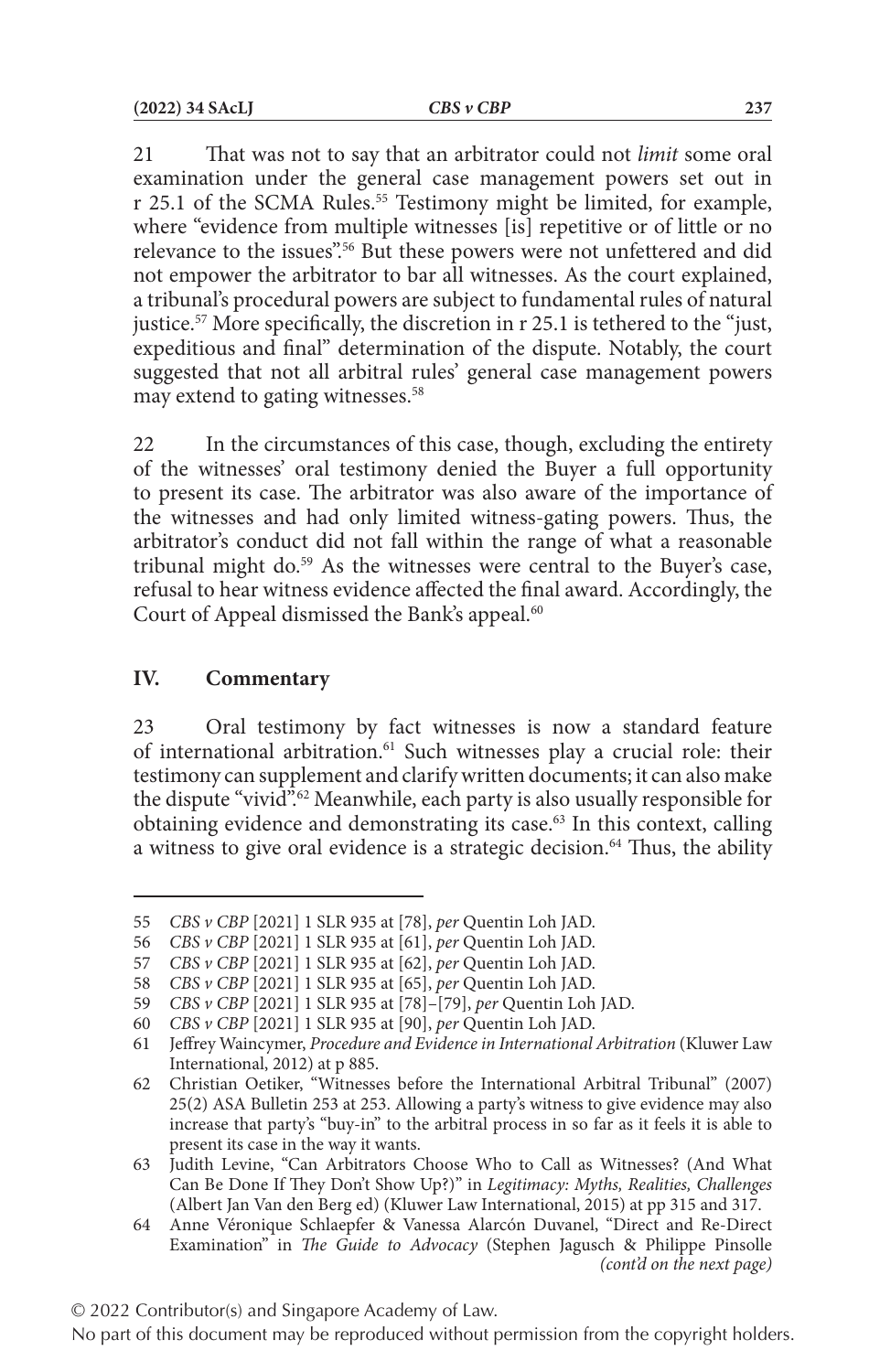21 That was not to say that an arbitrator could not *limit* some oral examination under the general case management powers set out in r 25.1 of the SCMA Rules.<sup>55</sup> Testimony might be limited, for example, where "evidence from multiple witnesses [is] repetitive or of little or no relevance to the issues".<sup>56</sup> But these powers were not unfettered and did not empower the arbitrator to bar all witnesses. As the court explained, a tribunal's procedural powers are subject to fundamental rules of natural justice.57 More specifically, the discretion in r 25.1 is tethered to the "just, expeditious and final" determination of the dispute. Notably, the court suggested that not all arbitral rules' general case management powers may extend to gating witnesses.58

22 In the circumstances of this case, though, excluding the entirety of the witnesses' oral testimony denied the Buyer a full opportunity to present its case. The arbitrator was also aware of the importance of the witnesses and had only limited witness-gating powers. Thus, the arbitrator's conduct did not fall within the range of what a reasonable tribunal might do.<sup>59</sup> As the witnesses were central to the Buyer's case, refusal to hear witness evidence affected the final award. Accordingly, the Court of Appeal dismissed the Bank's appeal.<sup>60</sup>

#### **IV. Commentary**

23 Oral testimony by fact witnesses is now a standard feature of international arbitration.<sup>61</sup> Such witnesses play a crucial role: their testimony can supplement and clarify written documents; it can also make the dispute "vivid".<sup>62</sup> Meanwhile, each party is also usually responsible for obtaining evidence and demonstrating its case.<sup>63</sup> In this context, calling a witness to give oral evidence is a strategic decision.<sup>64</sup> Thus, the ability

<sup>55</sup> *CBS v CBP* [2021] 1 SLR 935 at [78], *per* Quentin Loh JAD.

<sup>56</sup> *CBS v CBP* [2021] 1 SLR 935 at [61], *per* Quentin Loh JAD.

<sup>57</sup> *CBS v CBP* [2021] 1 SLR 935 at [62], *per* Quentin Loh JAD.

<sup>58</sup> *CBS v CBP* [2021] 1 SLR 935 at [65], *per* Quentin Loh JAD.

<sup>59</sup> *CBS v CBP* [2021] 1 SLR 935 at [78]–[79], *per* Quentin Loh JAD.

<sup>60</sup> *CBS v CBP* [2021] 1 SLR 935 at [90], *per* Quentin Loh JAD.

<sup>61</sup> Jeffrey Waincymer, *Procedure and Evidence in International Arbitration* (Kluwer Law International, 2012) at p 885.

<sup>62</sup> Christian Oetiker, "Witnesses before the International Arbitral Tribunal" (2007) 25(2) ASA Bulletin 253 at 253. Allowing a party's witness to give evidence may also increase that party's "buy-in" to the arbitral process in so far as it feels it is able to present its case in the way it wants.

<sup>63</sup> Judith Levine, "Can Arbitrators Choose Who to Call as Witnesses? (And What Can Be Done If They Don't Show Up?)" in *Legitimacy: Myths, Realities, Challenges* (Albert Jan Van den Berg ed) (Kluwer Law International, 2015) at pp 315 and 317.

<sup>64</sup> Anne Véronique Schlaepfer & Vanessa Alarcón Duvanel, "Direct and Re-Direct Examination" in *The Guide to Advocacy* (Stephen Jagusch & Philippe Pinsolle *(cont'd on the next page)*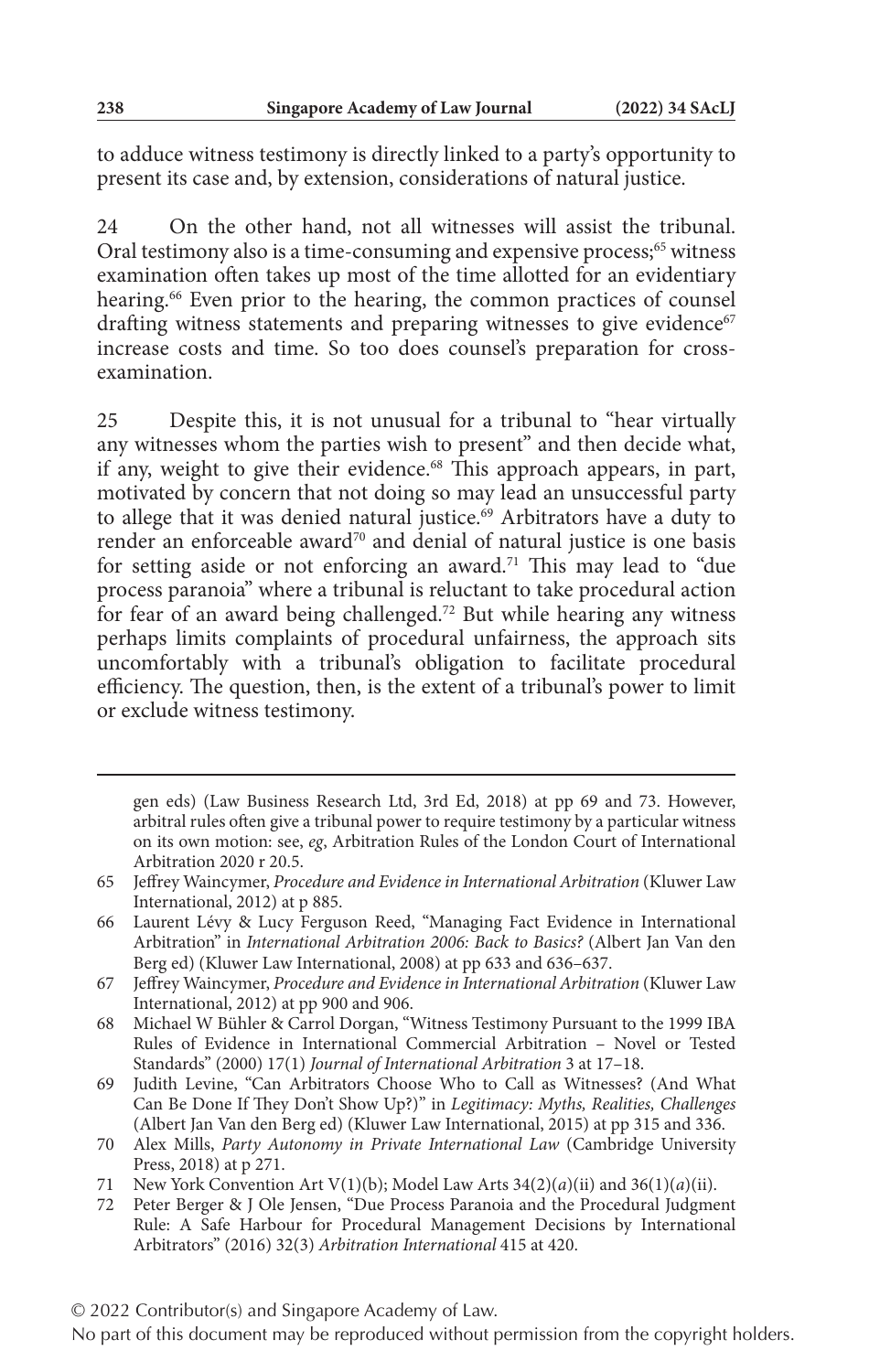to adduce witness testimony is directly linked to a party's opportunity to present its case and, by extension, considerations of natural justice.

24 On the other hand, not all witnesses will assist the tribunal. Oral testimony also is a time-consuming and expensive process;<sup>65</sup> witness examination often takes up most of the time allotted for an evidentiary hearing.<sup>66</sup> Even prior to the hearing, the common practices of counsel drafting witness statements and preparing witnesses to give evidence<sup>67</sup> increase costs and time. So too does counsel's preparation for crossexamination.

25 Despite this, it is not unusual for a tribunal to "hear virtually any witnesses whom the parties wish to present" and then decide what, if any, weight to give their evidence.<sup>68</sup> This approach appears, in part, motivated by concern that not doing so may lead an unsuccessful party to allege that it was denied natural justice.<sup>69</sup> Arbitrators have a duty to render an enforceable award<sup>70</sup> and denial of natural justice is one basis for setting aside or not enforcing an award.<sup>71</sup> This may lead to "due process paranoia" where a tribunal is reluctant to take procedural action for fear of an award being challenged.72 But while hearing any witness perhaps limits complaints of procedural unfairness, the approach sits uncomfortably with a tribunal's obligation to facilitate procedural efficiency. The question, then, is the extent of a tribunal's power to limit or exclude witness testimony.

gen eds) (Law Business Research Ltd, 3rd Ed, 2018) at pp 69 and 73. However, arbitral rules often give a tribunal power to require testimony by a particular witness on its own motion: see, *eg*, Arbitration Rules of the London Court of International Arbitration 2020 r 20.5.

<sup>65</sup> Jeffrey Waincymer, *Procedure and Evidence in International Arbitration* (Kluwer Law International, 2012) at p 885.

<sup>66</sup> Laurent Lévy & Lucy Ferguson Reed, "Managing Fact Evidence in International Arbitration" in *International Arbitration 2006: Back to Basics?* (Albert Jan Van den Berg ed) (Kluwer Law International, 2008) at pp 633 and 636–637.

<sup>67</sup> Jeffrey Waincymer, *Procedure and Evidence in International Arbitration* (Kluwer Law International, 2012) at pp 900 and 906.

<sup>68</sup> Michael W Bühler & Carrol Dorgan, "Witness Testimony Pursuant to the 1999 IBA Rules of Evidence in International Commercial Arbitration – Novel or Tested Standards" (2000) 17(1) *Journal of International Arbitration* 3 at 17–18.

<sup>69</sup> Judith Levine, "Can Arbitrators Choose Who to Call as Witnesses? (And What Can Be Done If They Don't Show Up?)" in *Legitimacy: Myths, Realities, Challenges* (Albert Jan Van den Berg ed) (Kluwer Law International, 2015) at pp 315 and 336.

<sup>70</sup> Alex Mills, *Party Autonomy in Private International Law* (Cambridge University Press, 2018) at p 271.

<sup>71</sup> New York Convention Art V(1)(b); Model Law Arts 34(2)(*a*)(ii) and 36(1)(*a*)(ii).

<sup>72</sup> Peter Berger & J Ole Jensen, "Due Process Paranoia and the Procedural Judgment Rule: A Safe Harbour for Procedural Management Decisions by International Arbitrators" (2016) 32(3) *Arbitration International* 415 at 420.

No part of this document may be reproduced without permission from the copyright holders.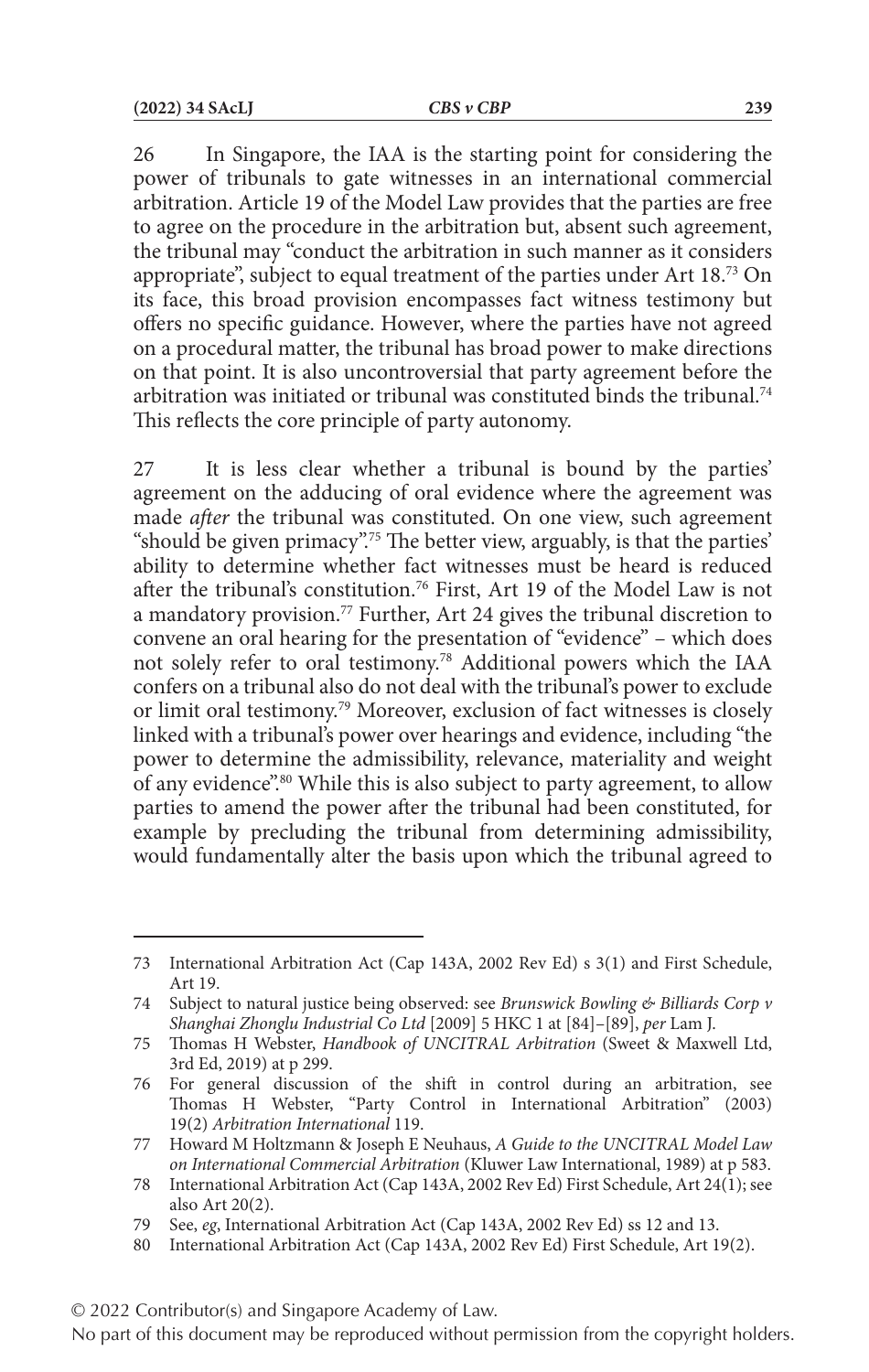26 In Singapore, the IAA is the starting point for considering the power of tribunals to gate witnesses in an international commercial arbitration. Article 19 of the Model Law provides that the parties are free to agree on the procedure in the arbitration but, absent such agreement, the tribunal may "conduct the arbitration in such manner as it considers appropriate", subject to equal treatment of the parties under Art 18.73 On its face, this broad provision encompasses fact witness testimony but offers no specific guidance. However, where the parties have not agreed on a procedural matter, the tribunal has broad power to make directions on that point. It is also uncontroversial that party agreement before the arbitration was initiated or tribunal was constituted binds the tribunal.74 This reflects the core principle of party autonomy.

27 It is less clear whether a tribunal is bound by the parties' agreement on the adducing of oral evidence where the agreement was made *after* the tribunal was constituted. On one view, such agreement "should be given primacy".<sup>75</sup> The better view, arguably, is that the parties' ability to determine whether fact witnesses must be heard is reduced after the tribunal's constitution.76 First, Art 19 of the Model Law is not a mandatory provision.<sup>77</sup> Further, Art 24 gives the tribunal discretion to convene an oral hearing for the presentation of "evidence" – which does not solely refer to oral testimony.78 Additional powers which the IAA confers on a tribunal also do not deal with the tribunal's power to exclude or limit oral testimony.79 Moreover, exclusion of fact witnesses is closely linked with a tribunal's power over hearings and evidence, including "the power to determine the admissibility, relevance, materiality and weight of any evidence".80 While this is also subject to party agreement, to allow parties to amend the power after the tribunal had been constituted, for example by precluding the tribunal from determining admissibility, would fundamentally alter the basis upon which the tribunal agreed to

<sup>73</sup> International Arbitration Act (Cap 143A, 2002 Rev Ed) s 3(1) and First Schedule, Art 19.

<sup>74</sup> Subject to natural justice being observed: see *Brunswick Bowling & Billiards Corp v Shanghai Zhonglu Industrial Co Ltd* [2009] 5 HKC 1 at [84]–[89], *per* Lam J.

<sup>75</sup> Thomas H Webster, *Handbook of UNCITRAL Arbitration* (Sweet & Maxwell Ltd, 3rd Ed, 2019) at p 299.

<sup>76</sup> For general discussion of the shift in control during an arbitration, see Thomas H Webster, "Party Control in International Arbitration" (2003) 19(2) *Arbitration International* 119.

<sup>77</sup> Howard M Holtzmann & Joseph E Neuhaus, *A Guide to the UNCITRAL Model Law on International Commercial Arbitration* (Kluwer Law International, 1989) at p 583.

<sup>78</sup> International Arbitration Act (Cap 143A, 2002 Rev Ed) First Schedule, Art 24(1); see also Art 20(2).

<sup>79</sup> See, *eg*, International Arbitration Act (Cap 143A, 2002 Rev Ed) ss 12 and 13.

<sup>80</sup> International Arbitration Act (Cap 143A, 2002 Rev Ed) First Schedule, Art 19(2).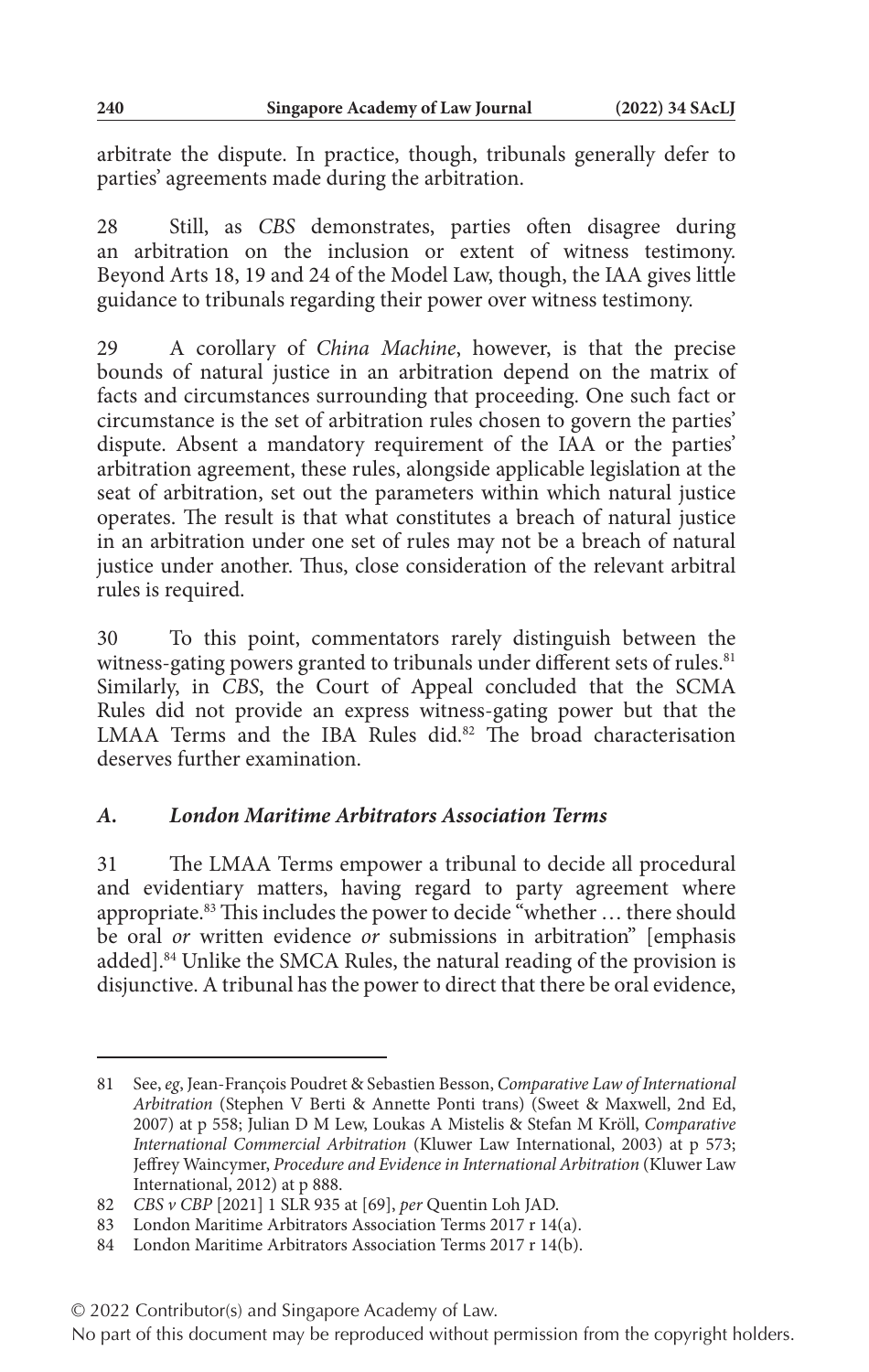arbitrate the dispute. In practice, though, tribunals generally defer to parties' agreements made during the arbitration.

28 Still, as *CBS* demonstrates, parties often disagree during an arbitration on the inclusion or extent of witness testimony. Beyond Arts 18, 19 and 24 of the Model Law, though, the IAA gives little guidance to tribunals regarding their power over witness testimony.

29 A corollary of *China Machine*, however, is that the precise bounds of natural justice in an arbitration depend on the matrix of facts and circumstances surrounding that proceeding. One such fact or circumstance is the set of arbitration rules chosen to govern the parties' dispute. Absent a mandatory requirement of the IAA or the parties' arbitration agreement, these rules, alongside applicable legislation at the seat of arbitration, set out the parameters within which natural justice operates. The result is that what constitutes a breach of natural justice in an arbitration under one set of rules may not be a breach of natural justice under another. Thus, close consideration of the relevant arbitral rules is required.

30 To this point, commentators rarely distinguish between the witness-gating powers granted to tribunals under different sets of rules.<sup>81</sup> Similarly, in *CBS*, the Court of Appeal concluded that the SCMA Rules did not provide an express witness-gating power but that the LMAA Terms and the IBA Rules did.<sup>82</sup> The broad characterisation deserves further examination.

## *A. London Maritime Arbitrators Association Terms*

31 The LMAA Terms empower a tribunal to decide all procedural and evidentiary matters, having regard to party agreement where appropriate.<sup>83</sup> This includes the power to decide "whether ... there should be oral *or* written evidence *or* submissions in arbitration" [emphasis added].<sup>84</sup> Unlike the SMCA Rules, the natural reading of the provision is disjunctive. A tribunal has the power to direct that there be oral evidence,

<sup>81</sup> See, *eg*, Jean-François Poudret & Sebastien Besson, *Comparative Law of International Arbitration* (Stephen V Berti & Annette Ponti trans) (Sweet & Maxwell, 2nd Ed, 2007) at p 558; Julian D M Lew, Loukas A Mistelis & Stefan M Kröll, *Comparative International Commercial Arbitration* (Kluwer Law International, 2003) at p 573; Jeffrey Waincymer, *Procedure and Evidence in International Arbitration* (Kluwer Law International, 2012) at p 888.

<sup>82</sup> *CBS v CBP* [2021] 1 SLR 935 at [69], *per* Quentin Loh JAD.

<sup>83</sup> London Maritime Arbitrators Association Terms 2017 r 14(a).

<sup>84</sup> London Maritime Arbitrators Association Terms 2017 r 14(b).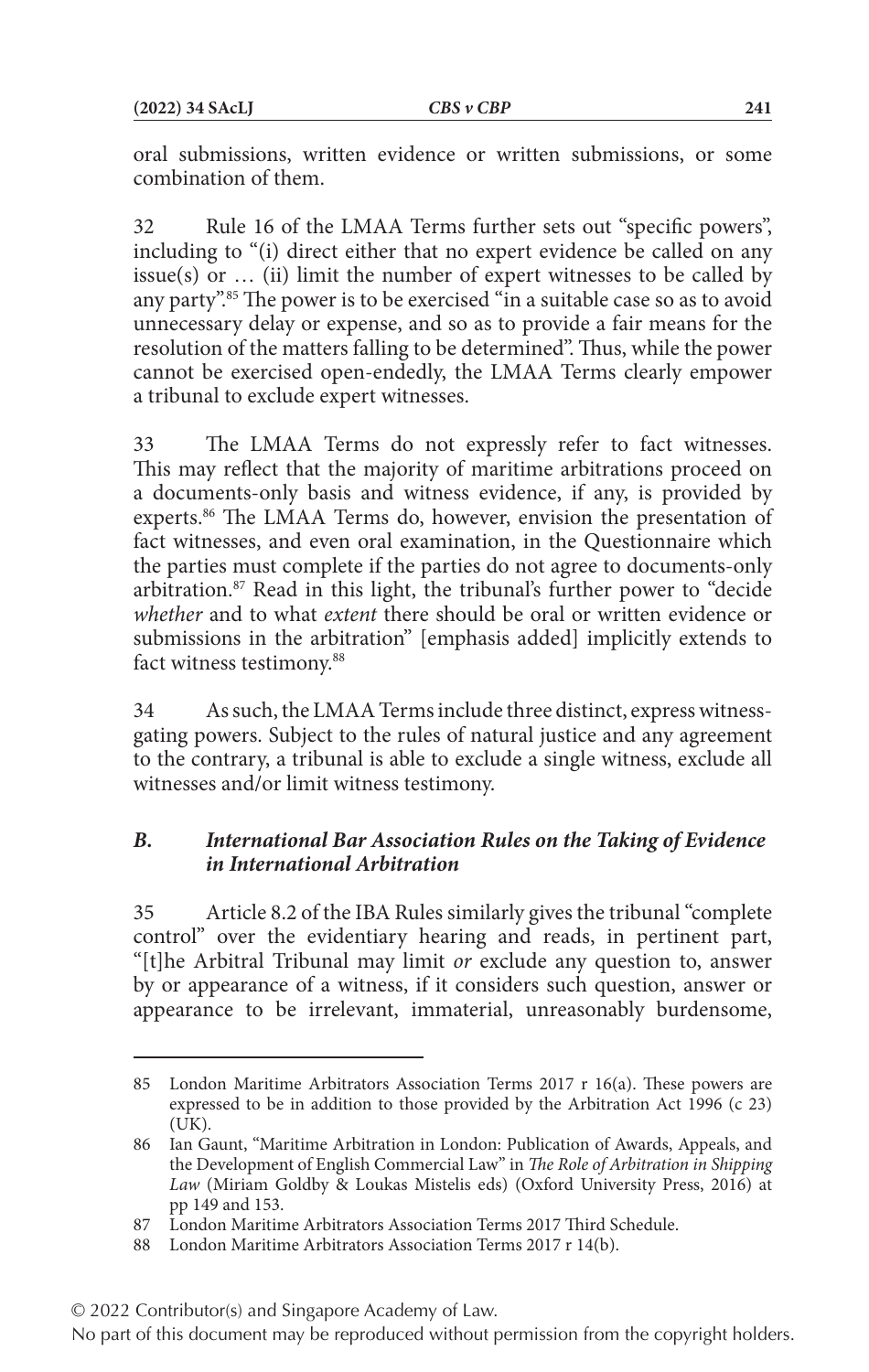oral submissions, written evidence or written submissions, or some combination of them.

32 Rule 16 of the LMAA Terms further sets out "specific powers", including to "(i) direct either that no expert evidence be called on any issue(s) or  $\ldots$  (ii) limit the number of expert witnesses to be called by any party".85 The power is to be exercised "in a suitable case so as to avoid unnecessary delay or expense, and so as to provide a fair means for the resolution of the matters falling to be determined". Thus, while the power cannot be exercised open-endedly, the LMAA Terms clearly empower a tribunal to exclude expert witnesses.

33 The LMAA Terms do not expressly refer to fact witnesses. This may reflect that the majority of maritime arbitrations proceed on a documents-only basis and witness evidence, if any, is provided by experts.<sup>86</sup> The LMAA Terms do, however, envision the presentation of fact witnesses, and even oral examination, in the Questionnaire which the parties must complete if the parties do not agree to documents-only arbitration.<sup>87</sup> Read in this light, the tribunal's further power to "decide" *whether* and to what *extent* there should be oral or written evidence or submissions in the arbitration" [emphasis added] implicitly extends to fact witness testimony.<sup>88</sup>

34 As such, the LMAA Terms include three distinct, express witnessgating powers. Subject to the rules of natural justice and any agreement to the contrary, a tribunal is able to exclude a single witness, exclude all witnesses and/or limit witness testimony.

## *B. International Bar Association Rules on the Taking of Evidence in International Arbitration*

35 Article 8.2 of the IBA Rules similarly gives the tribunal "complete control" over the evidentiary hearing and reads, in pertinent part, "[t]he Arbitral Tribunal may limit *or* exclude any question to, answer by or appearance of a witness, if it considers such question, answer or appearance to be irrelevant, immaterial, unreasonably burdensome,

<sup>85</sup> London Maritime Arbitrators Association Terms 2017 r 16(a). These powers are expressed to be in addition to those provided by the Arbitration Act 1996 (c 23) (UK).

<sup>86</sup> Ian Gaunt, "Maritime Arbitration in London: Publication of Awards, Appeals, and the Development of English Commercial Law" in *The Role of Arbitration in Shipping Law* (Miriam Goldby & Loukas Mistelis eds) (Oxford University Press, 2016) at pp 149 and 153.

<sup>87</sup> London Maritime Arbitrators Association Terms 2017 Third Schedule.

<sup>88</sup> London Maritime Arbitrators Association Terms 2017 r 14(b).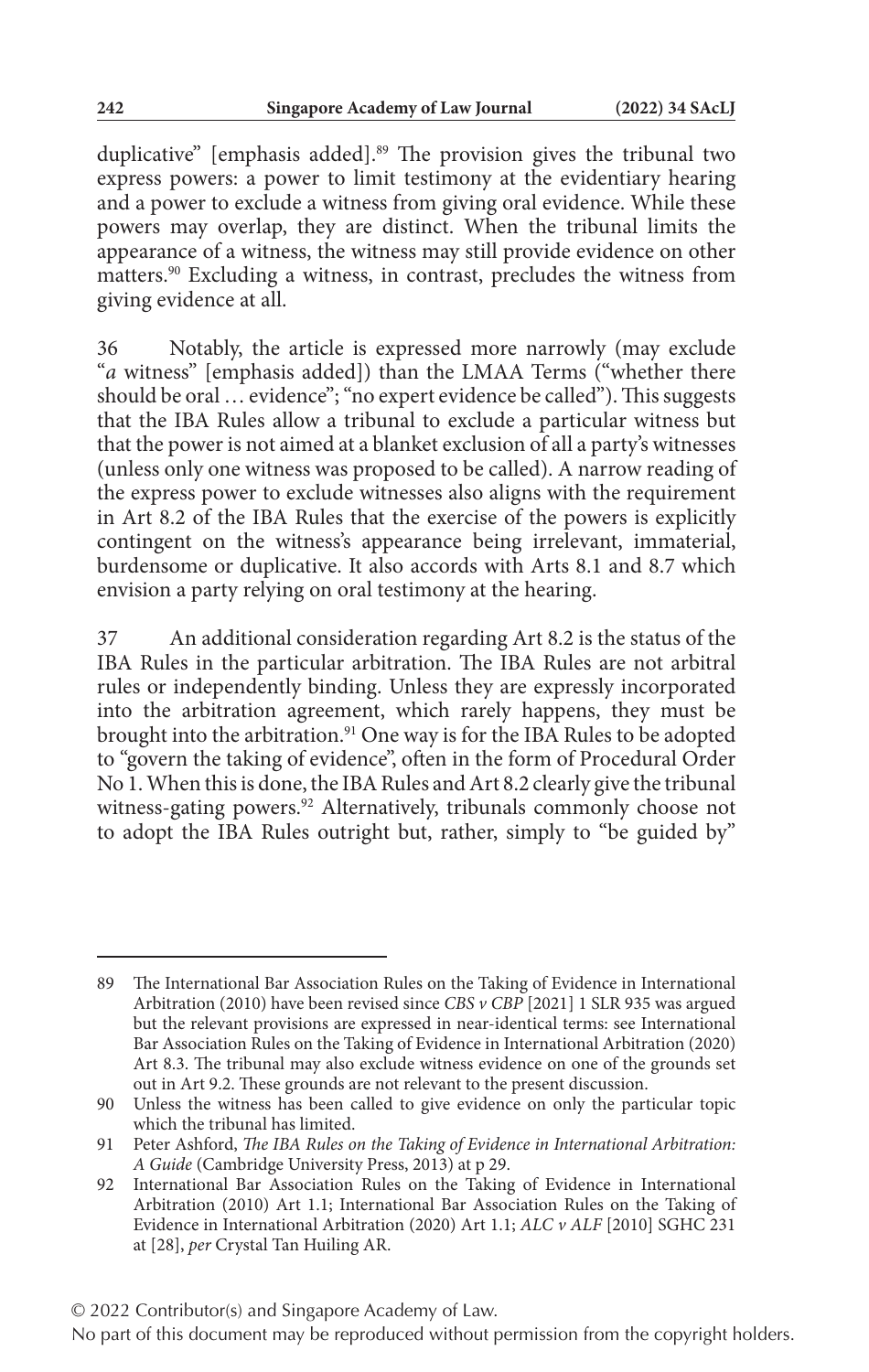duplicative" [emphasis added].<sup>89</sup> The provision gives the tribunal two express powers: a power to limit testimony at the evidentiary hearing and a power to exclude a witness from giving oral evidence. While these powers may overlap, they are distinct. When the tribunal limits the appearance of a witness, the witness may still provide evidence on other matters.90 Excluding a witness, in contrast, precludes the witness from giving evidence at all.

36 Notably, the article is expressed more narrowly (may exclude "*a* witness" [emphasis added]) than the LMAA Terms ("whether there should be oral … evidence"; "no expert evidence be called"). This suggests that the IBA Rules allow a tribunal to exclude a particular witness but that the power is not aimed at a blanket exclusion of all a party's witnesses (unless only one witness was proposed to be called). A narrow reading of the express power to exclude witnesses also aligns with the requirement in Art 8.2 of the IBA Rules that the exercise of the powers is explicitly contingent on the witness's appearance being irrelevant, immaterial, burdensome or duplicative. It also accords with Arts 8.1 and 8.7 which envision a party relying on oral testimony at the hearing.

37 An additional consideration regarding Art 8.2 is the status of the IBA Rules in the particular arbitration. The IBA Rules are not arbitral rules or independently binding. Unless they are expressly incorporated into the arbitration agreement, which rarely happens, they must be brought into the arbitration.<sup>91</sup> One way is for the IBA Rules to be adopted to "govern the taking of evidence", often in the form of Procedural Order No 1. When this is done, the IBA Rules and Art 8.2 clearly give the tribunal witness-gating powers.<sup>92</sup> Alternatively, tribunals commonly choose not to adopt the IBA Rules outright but, rather, simply to "be guided by"

<sup>89</sup> The International Bar Association Rules on the Taking of Evidence in International Arbitration (2010) have been revised since *CBS v CBP* [2021] 1 SLR 935 was argued but the relevant provisions are expressed in near-identical terms: see International Bar Association Rules on the Taking of Evidence in International Arbitration (2020) Art 8.3. The tribunal may also exclude witness evidence on one of the grounds set out in Art 9.2. These grounds are not relevant to the present discussion.

<sup>90</sup> Unless the witness has been called to give evidence on only the particular topic which the tribunal has limited.

<sup>91</sup> Peter Ashford, *The IBA Rules on the Taking of Evidence in International Arbitration: A Guide* (Cambridge University Press, 2013) at p 29.

<sup>92</sup> International Bar Association Rules on the Taking of Evidence in International Arbitration (2010) Art 1.1; International Bar Association Rules on the Taking of Evidence in International Arbitration (2020) Art 1.1; *ALC v ALF* [2010] SGHC 231 at [28], *per* Crystal Tan Huiling AR.

No part of this document may be reproduced without permission from the copyright holders.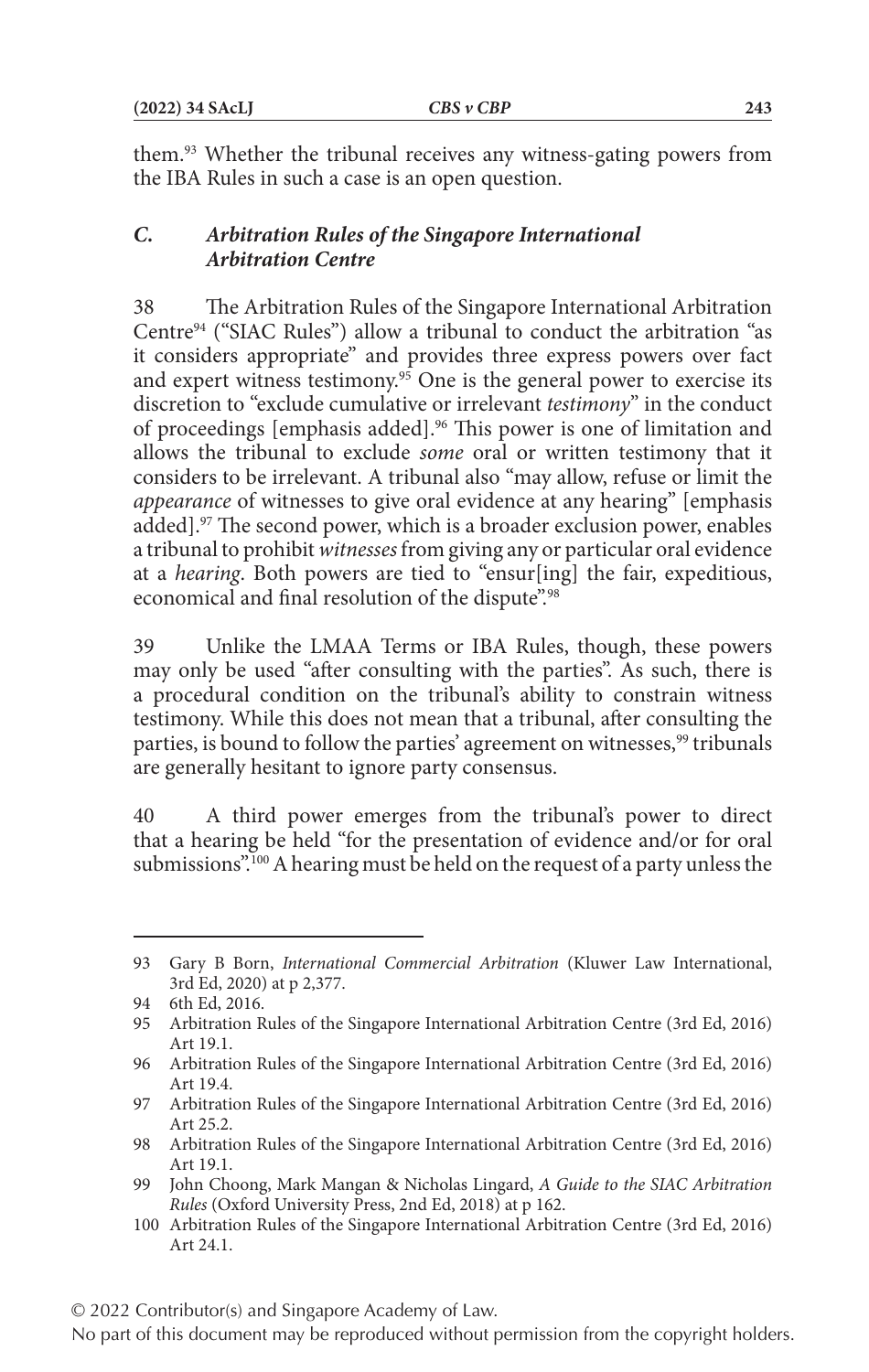them.93 Whether the tribunal receives any witness-gating powers from the IBA Rules in such a case is an open question.

## *C. Arbitration Rules of the Singapore International Arbitration Centre*

38 The Arbitration Rules of the Singapore International Arbitration Centre94 ("SIAC Rules") allow a tribunal to conduct the arbitration "as it considers appropriate" and provides three express powers over fact and expert witness testimony.<sup>95</sup> One is the general power to exercise its discretion to "exclude cumulative or irrelevant *testimony*" in the conduct of proceedings [emphasis added].<sup>96</sup> This power is one of limitation and allows the tribunal to exclude *some* oral or written testimony that it considers to be irrelevant. A tribunal also "may allow, refuse or limit the *appearance* of witnesses to give oral evidence at any hearing" [emphasis added].97 The second power, which is a broader exclusion power, enables a tribunal to prohibit *witnesses* from giving any or particular oral evidence at a *hearing*. Both powers are tied to "ensur[ing] the fair, expeditious, economical and final resolution of the dispute".<sup>98</sup>

39 Unlike the LMAA Terms or IBA Rules, though, these powers may only be used "after consulting with the parties". As such, there is a procedural condition on the tribunal's ability to constrain witness testimony. While this does not mean that a tribunal, after consulting the parties, is bound to follow the parties' agreement on witnesses,<sup>99</sup> tribunals are generally hesitant to ignore party consensus.

40 A third power emerges from the tribunal's power to direct that a hearing be held "for the presentation of evidence and/or for oral submissions".100 A hearing must be held on the request of a party unless the

<sup>93</sup> Gary B Born, *International Commercial Arbitration* (Kluwer Law International, 3rd Ed, 2020) at p 2,377.

<sup>94</sup> 6th Ed, 2016.

<sup>95</sup> Arbitration Rules of the Singapore International Arbitration Centre (3rd Ed, 2016) Art 19.1.

<sup>96</sup> Arbitration Rules of the Singapore International Arbitration Centre (3rd Ed, 2016) Art 19.4.

<sup>97</sup> Arbitration Rules of the Singapore International Arbitration Centre (3rd Ed, 2016) Art 25.2.

<sup>98</sup> Arbitration Rules of the Singapore International Arbitration Centre (3rd Ed, 2016) Art 19.1.

<sup>99</sup> John Choong, Mark Mangan & Nicholas Lingard, *A Guide to the SIAC Arbitration Rules* (Oxford University Press, 2nd Ed, 2018) at p 162.

<sup>100</sup> Arbitration Rules of the Singapore International Arbitration Centre (3rd Ed, 2016) Art 24.1.

<sup>© 2022</sup> Contributor(s) and Singapore Academy of Law.

No part of this document may be reproduced without permission from the copyright holders.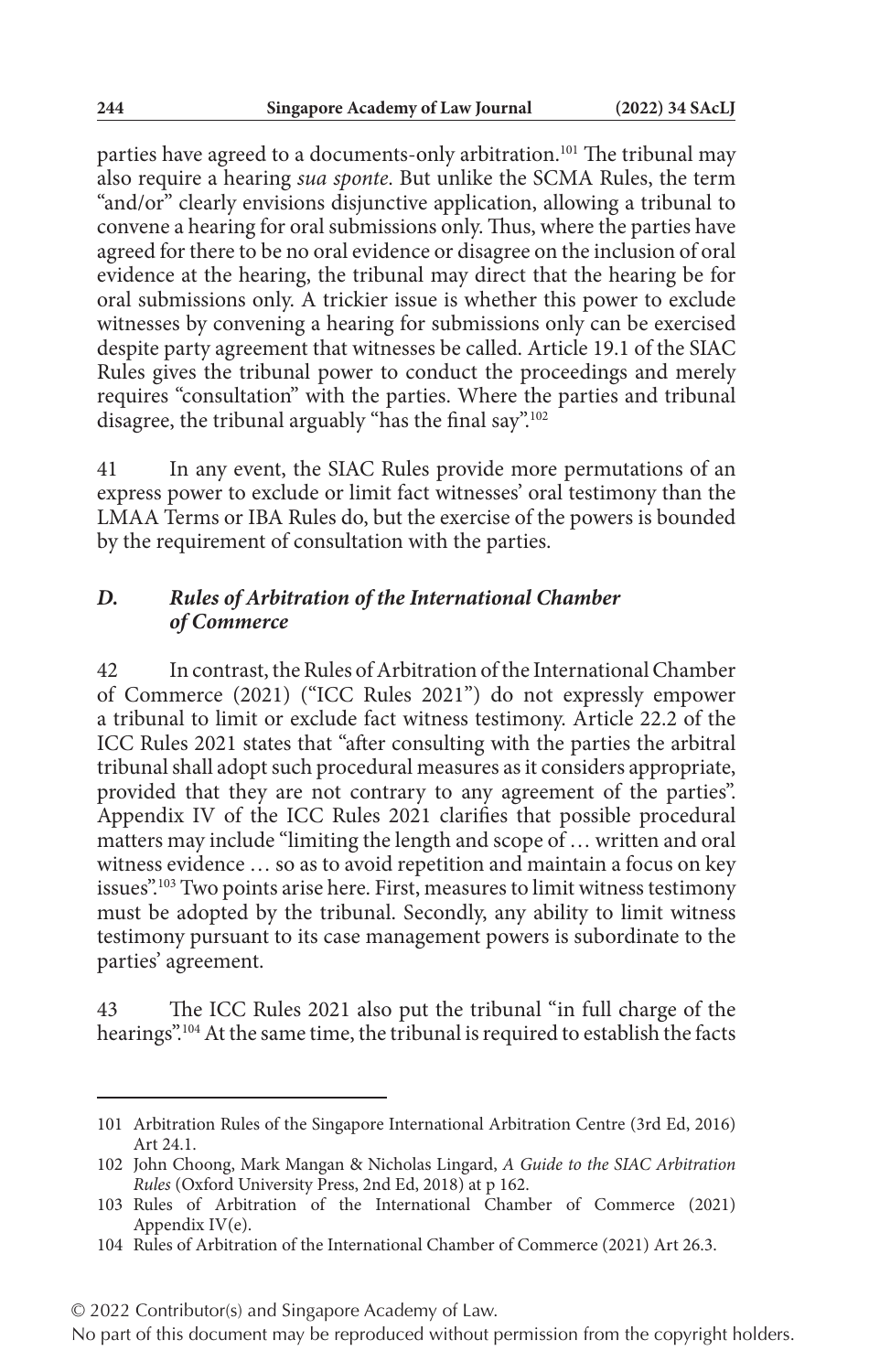parties have agreed to a documents-only arbitration.<sup>101</sup> The tribunal may also require a hearing *sua sponte*. But unlike the SCMA Rules, the term "and/or" clearly envisions disjunctive application, allowing a tribunal to convene a hearing for oral submissions only. Thus, where the parties have agreed for there to be no oral evidence or disagree on the inclusion of oral evidence at the hearing, the tribunal may direct that the hearing be for oral submissions only. A trickier issue is whether this power to exclude witnesses by convening a hearing for submissions only can be exercised despite party agreement that witnesses be called. Article 19.1 of the SIAC Rules gives the tribunal power to conduct the proceedings and merely requires "consultation" with the parties. Where the parties and tribunal disagree, the tribunal arguably "has the final say".<sup>102</sup>

41 In any event, the SIAC Rules provide more permutations of an express power to exclude or limit fact witnesses' oral testimony than the LMAA Terms or IBA Rules do, but the exercise of the powers is bounded by the requirement of consultation with the parties.

## *D. Rules of Arbitration of the International Chamber of Commerce*

42 In contrast, the Rules of Arbitration of the International Chamber of Commerce (2021) ("ICC Rules 2021") do not expressly empower a tribunal to limit or exclude fact witness testimony. Article 22.2 of the ICC Rules 2021 states that "after consulting with the parties the arbitral tribunal shall adopt such procedural measures as it considers appropriate, provided that they are not contrary to any agreement of the parties". Appendix IV of the ICC Rules 2021 clarifies that possible procedural matters may include "limiting the length and scope of … written and oral witness evidence … so as to avoid repetition and maintain a focus on key issues".<sup>103</sup> Two points arise here. First, measures to limit witness testimony must be adopted by the tribunal. Secondly, any ability to limit witness testimony pursuant to its case management powers is subordinate to the parties' agreement.

43 The ICC Rules 2021 also put the tribunal "in full charge of the hearings".104 At the same time, the tribunal is required to establish the facts

<sup>101</sup> Arbitration Rules of the Singapore International Arbitration Centre (3rd Ed, 2016) Art 24.1.

<sup>102</sup> John Choong, Mark Mangan & Nicholas Lingard, *A Guide to the SIAC Arbitration Rules* (Oxford University Press, 2nd Ed, 2018) at p 162.

<sup>103</sup> Rules of Arbitration of the International Chamber of Commerce (2021) Appendix IV(e).

<sup>104</sup> Rules of Arbitration of the International Chamber of Commerce (2021) Art 26.3.

<sup>© 2022</sup> Contributor(s) and Singapore Academy of Law.

No part of this document may be reproduced without permission from the copyright holders.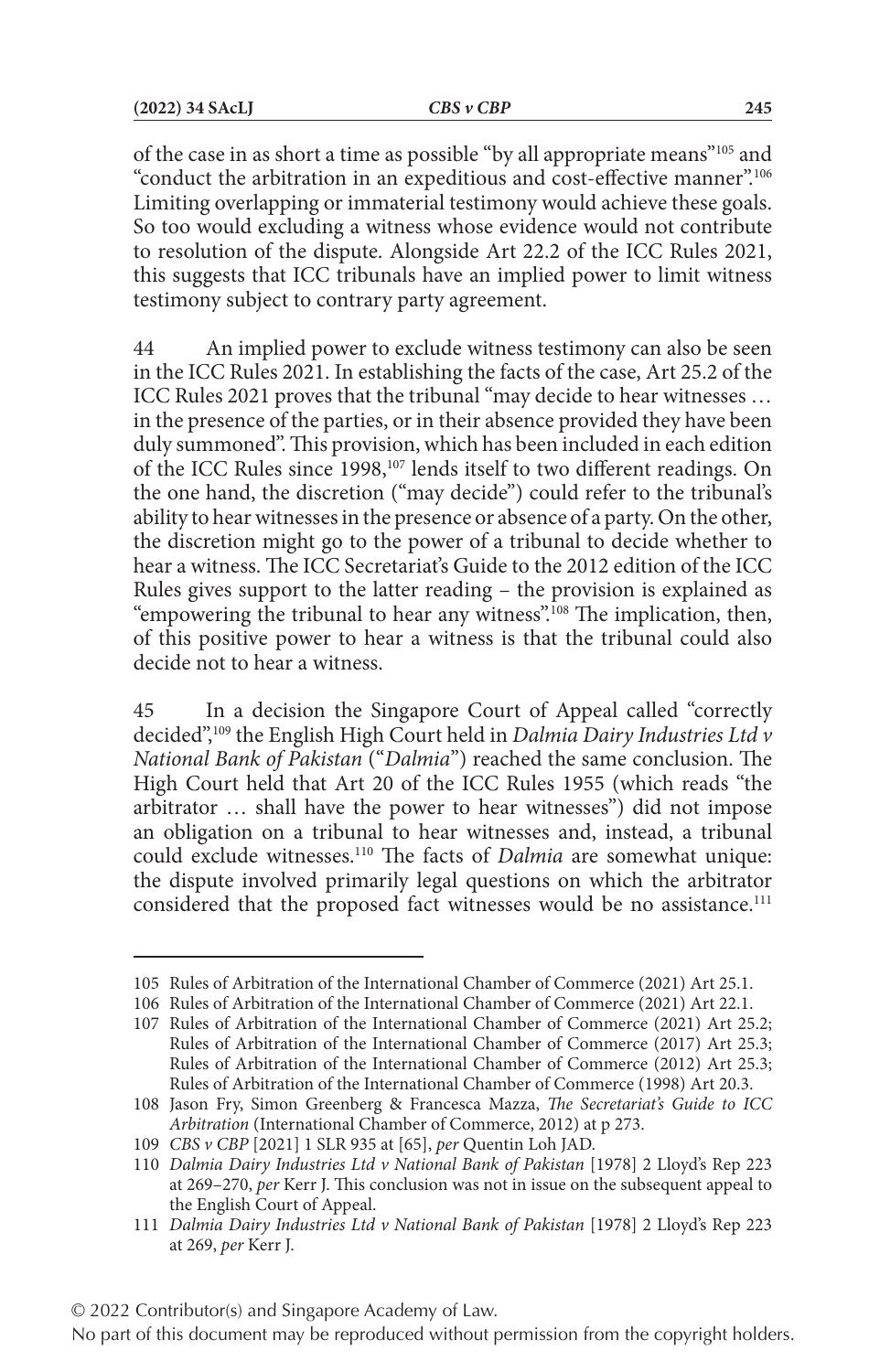of the case in as short a time as possible "by all appropriate means"105 and "conduct the arbitration in an expeditious and cost-effective manner".106 Limiting overlapping or immaterial testimony would achieve these goals. So too would excluding a witness whose evidence would not contribute to resolution of the dispute. Alongside Art 22.2 of the ICC Rules 2021, this suggests that ICC tribunals have an implied power to limit witness testimony subject to contrary party agreement.

44 An implied power to exclude witness testimony can also be seen in the ICC Rules 2021. In establishing the facts of the case, Art 25.2 of the ICC Rules 2021 proves that the tribunal "may decide to hear witnesses … in the presence of the parties, or in their absence provided they have been duly summoned". This provision, which has been included in each edition of the ICC Rules since 1998,<sup>107</sup> lends itself to two different readings. On the one hand, the discretion ("may decide") could refer to the tribunal's ability to hear witnesses in the presence or absence of a party. On the other, the discretion might go to the power of a tribunal to decide whether to hear a witness. The ICC Secretariat's Guide to the 2012 edition of the ICC Rules gives support to the latter reading – the provision is explained as "empowering the tribunal to hear any witness".<sup>108</sup> The implication, then, of this positive power to hear a witness is that the tribunal could also decide not to hear a witness.

45 In a decision the Singapore Court of Appeal called "correctly decided",109 the English High Court held in *Dalmia Dairy Industries Ltd v National Bank of Pakistan* ("*Dalmia*") reached the same conclusion. The High Court held that Art 20 of the ICC Rules 1955 (which reads "the arbitrator … shall have the power to hear witnesses") did not impose an obligation on a tribunal to hear witnesses and, instead, a tribunal could exclude witnesses.110 The facts of *Dalmia* are somewhat unique: the dispute involved primarily legal questions on which the arbitrator considered that the proposed fact witnesses would be no assistance.<sup>111</sup>

<sup>105</sup> Rules of Arbitration of the International Chamber of Commerce (2021) Art 25.1.

<sup>106</sup> Rules of Arbitration of the International Chamber of Commerce (2021) Art 22.1.

<sup>107</sup> Rules of Arbitration of the International Chamber of Commerce (2021) Art 25.2; Rules of Arbitration of the International Chamber of Commerce (2017) Art 25.3; Rules of Arbitration of the International Chamber of Commerce (2012) Art 25.3; Rules of Arbitration of the International Chamber of Commerce (1998) Art 20.3.

<sup>108</sup> Jason Fry, Simon Greenberg & Francesca Mazza, *The Secretariat's Guide to ICC Arbitration* (International Chamber of Commerce, 2012) at p 273.

<sup>109</sup> *CBS v CBP* [2021] 1 SLR 935 at [65], *per* Quentin Loh JAD.

<sup>110</sup> *Dalmia Dairy Industries Ltd v National Bank of Pakistan* [1978] 2 Lloyd's Rep 223 at 269–270, *per* Kerr J. This conclusion was not in issue on the subsequent appeal to the English Court of Appeal.

<sup>111</sup> *Dalmia Dairy Industries Ltd v National Bank of Pakistan* [1978] 2 Lloyd's Rep 223 at 269, *per* Kerr J.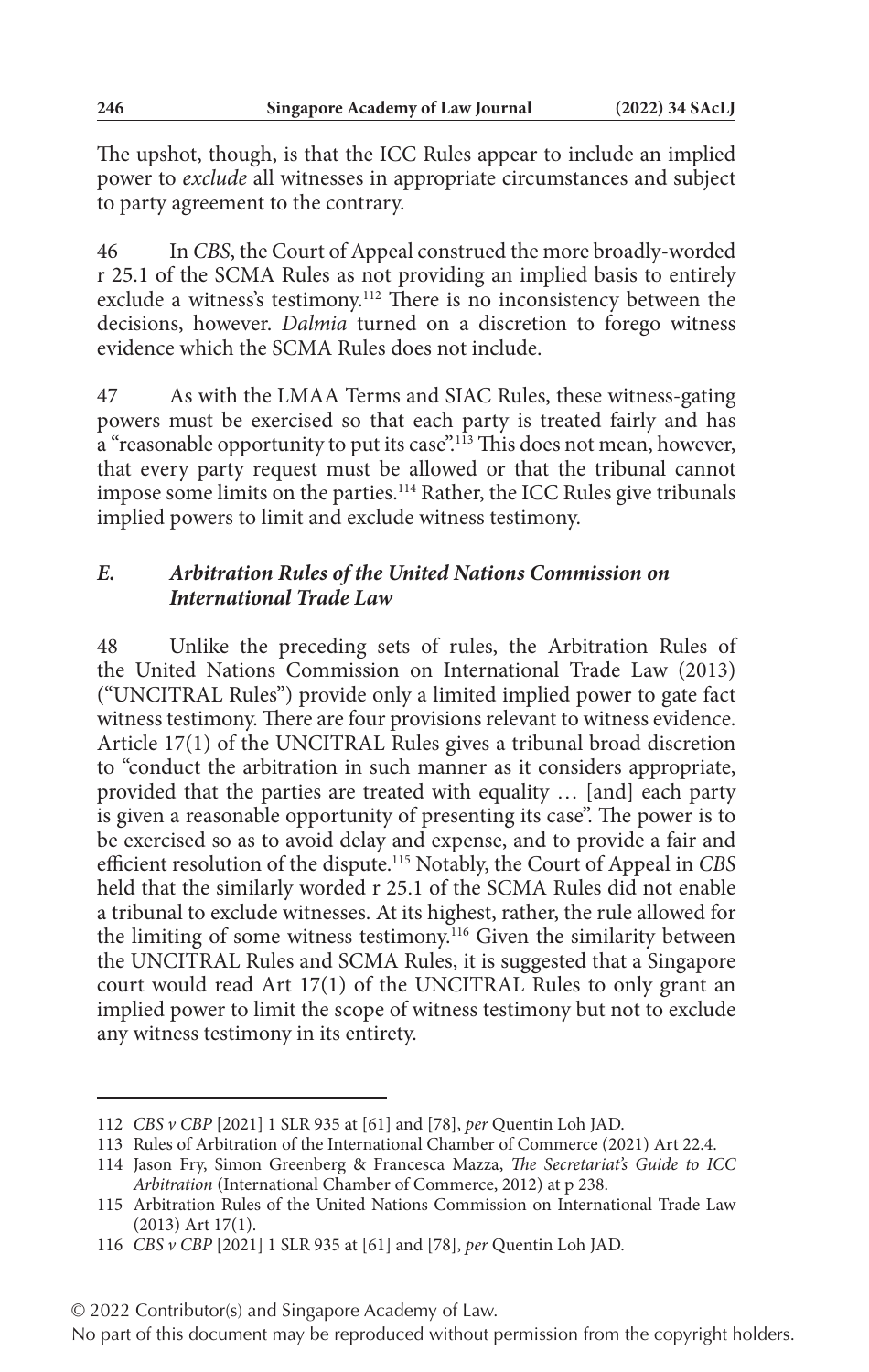The upshot, though, is that the ICC Rules appear to include an implied power to *exclude* all witnesses in appropriate circumstances and subject to party agreement to the contrary.

46 In *CBS*, the Court of Appeal construed the more broadly-worded r 25.1 of the SCMA Rules as not providing an implied basis to entirely exclude a witness's testimony.112 There is no inconsistency between the decisions, however. *Dalmia* turned on a discretion to forego witness evidence which the SCMA Rules does not include.

47 As with the LMAA Terms and SIAC Rules, these witness-gating powers must be exercised so that each party is treated fairly and has a "reasonable opportunity to put its case".<sup>113</sup> This does not mean, however, that every party request must be allowed or that the tribunal cannot impose some limits on the parties.114 Rather, the ICC Rules give tribunals implied powers to limit and exclude witness testimony.

## *E. Arbitration Rules of the United Nations Commission on International Trade Law*

48 Unlike the preceding sets of rules, the Arbitration Rules of the United Nations Commission on International Trade Law (2013) ("UNCITRAL Rules") provide only a limited implied power to gate fact witness testimony. There are four provisions relevant to witness evidence. Article 17(1) of the UNCITRAL Rules gives a tribunal broad discretion to "conduct the arbitration in such manner as it considers appropriate, provided that the parties are treated with equality … [and] each party is given a reasonable opportunity of presenting its case". The power is to be exercised so as to avoid delay and expense, and to provide a fair and efficient resolution of the dispute.115 Notably, the Court of Appeal in *CBS* held that the similarly worded r 25.1 of the SCMA Rules did not enable a tribunal to exclude witnesses. At its highest, rather, the rule allowed for the limiting of some witness testimony.<sup>116</sup> Given the similarity between the UNCITRAL Rules and SCMA Rules, it is suggested that a Singapore court would read Art 17(1) of the UNCITRAL Rules to only grant an implied power to limit the scope of witness testimony but not to exclude any witness testimony in its entirety.

<sup>112</sup> *CBS v CBP* [2021] 1 SLR 935 at [61] and [78], *per* Quentin Loh JAD.

<sup>113</sup> Rules of Arbitration of the International Chamber of Commerce (2021) Art 22.4.

<sup>114</sup> Jason Fry, Simon Greenberg & Francesca Mazza, *The Secretariat's Guide to ICC Arbitration* (International Chamber of Commerce, 2012) at p 238.

<sup>115</sup> Arbitration Rules of the United Nations Commission on International Trade Law (2013) Art 17(1).

<sup>116</sup> *CBS v CBP* [2021] 1 SLR 935 at [61] and [78], *per* Quentin Loh JAD.

<sup>© 2022</sup> Contributor(s) and Singapore Academy of Law.

No part of this document may be reproduced without permission from the copyright holders.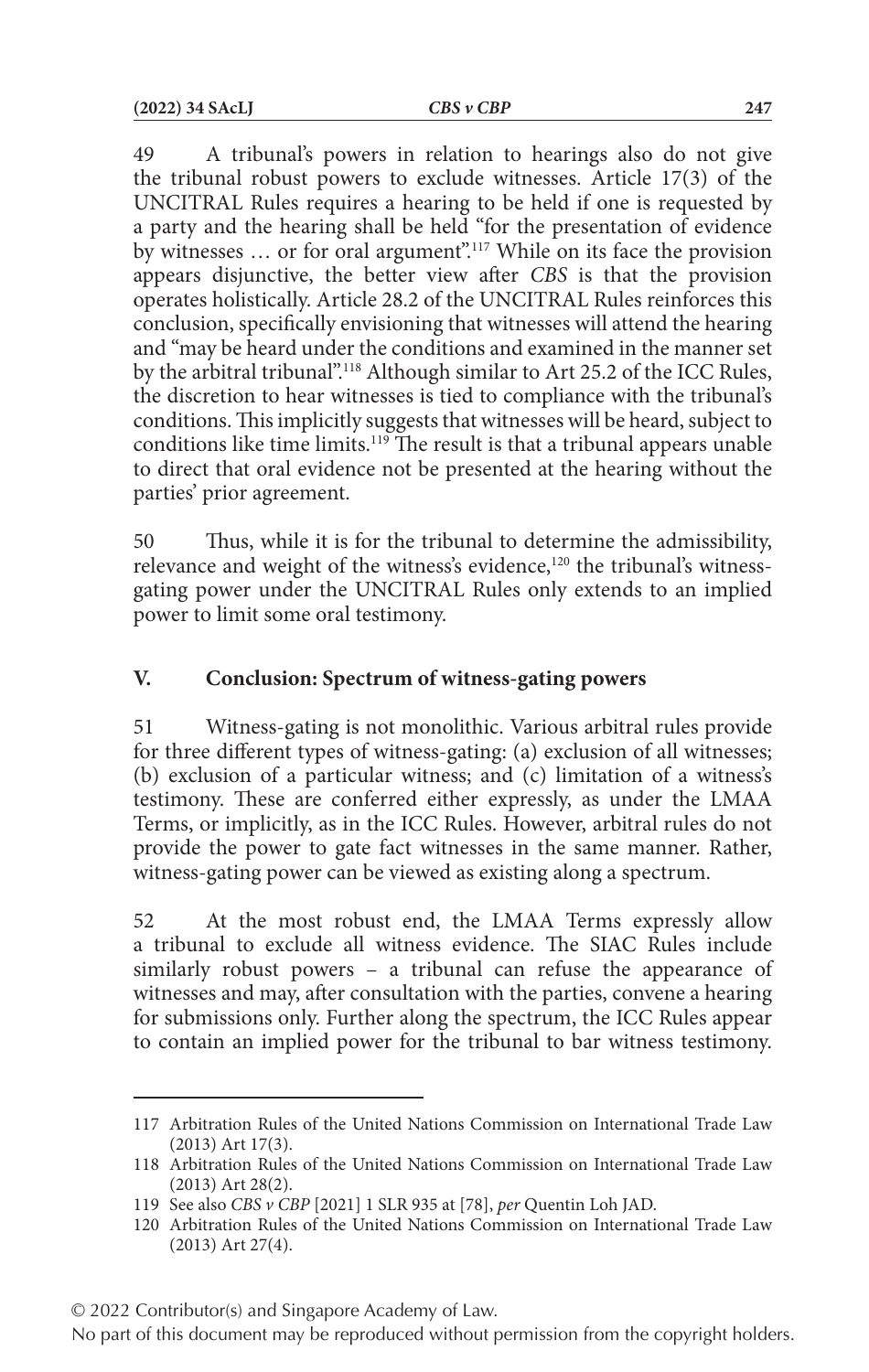49 A tribunal's powers in relation to hearings also do not give the tribunal robust powers to exclude witnesses. Article 17(3) of the UNCITRAL Rules requires a hearing to be held if one is requested by a party and the hearing shall be held "for the presentation of evidence by witnesses ... or for oral argument".<sup>117</sup> While on its face the provision appears disjunctive, the better view after *CBS* is that the provision operates holistically. Article 28.2 of the UNCITRAL Rules reinforces this conclusion, specifically envisioning that witnesses will attend the hearing and "may be heard under the conditions and examined in the manner set by the arbitral tribunal".118 Although similar to Art 25.2 of the ICC Rules, the discretion to hear witnesses is tied to compliance with the tribunal's conditions. This implicitly suggests that witnesses will be heard, subject to conditions like time limits.119 The result is that a tribunal appears unable to direct that oral evidence not be presented at the hearing without the parties' prior agreement.

50 Thus, while it is for the tribunal to determine the admissibility, relevance and weight of the witness's evidence,<sup>120</sup> the tribunal's witnessgating power under the UNCITRAL Rules only extends to an implied power to limit some oral testimony.

## **V. Conclusion: Spectrum of witness-gating powers**

51 Witness-gating is not monolithic. Various arbitral rules provide for three different types of witness-gating: (a) exclusion of all witnesses; (b) exclusion of a particular witness; and (c) limitation of a witness's testimony. These are conferred either expressly, as under the LMAA Terms, or implicitly, as in the ICC Rules. However, arbitral rules do not provide the power to gate fact witnesses in the same manner. Rather, witness-gating power can be viewed as existing along a spectrum.

52 At the most robust end, the LMAA Terms expressly allow a tribunal to exclude all witness evidence. The SIAC Rules include similarly robust powers – a tribunal can refuse the appearance of witnesses and may, after consultation with the parties, convene a hearing for submissions only. Further along the spectrum, the ICC Rules appear to contain an implied power for the tribunal to bar witness testimony.

© 2022 Contributor(s) and Singapore Academy of Law.

<sup>117</sup> Arbitration Rules of the United Nations Commission on International Trade Law (2013) Art 17(3).

<sup>118</sup> Arbitration Rules of the United Nations Commission on International Trade Law (2013) Art 28(2).

<sup>119</sup> See also *CBS v CBP* [2021] 1 SLR 935 at [78], *per* Quentin Loh JAD.

<sup>120</sup> Arbitration Rules of the United Nations Commission on International Trade Law (2013) Art 27(4).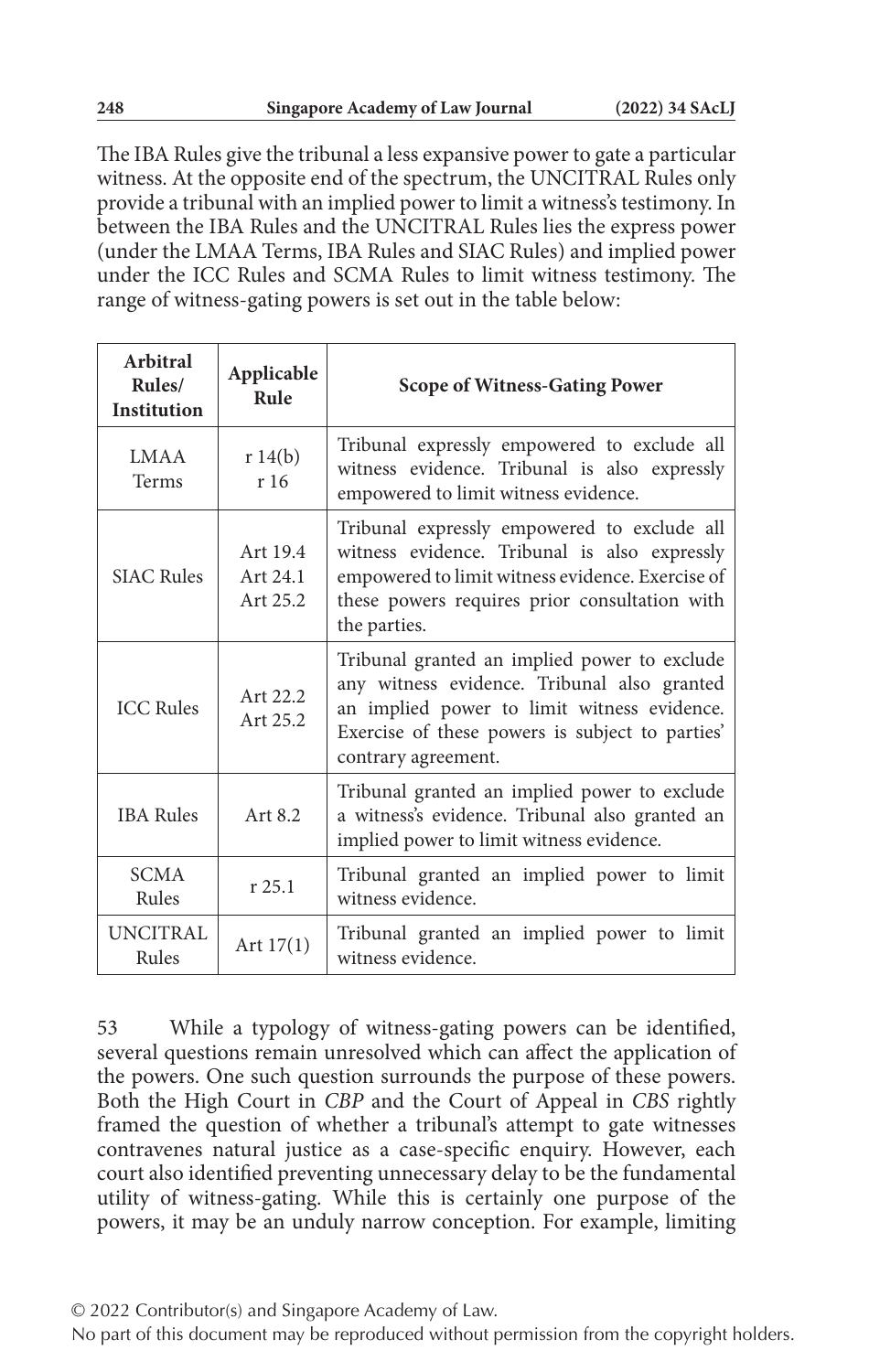The IBA Rules give the tribunal a less expansive power to gate a particular witness. At the opposite end of the spectrum, the UNCITRAL Rules only provide a tribunal with an implied power to limit a witness's testimony. In between the IBA Rules and the UNCITRAL Rules lies the express power (under the LMAA Terms, IBA Rules and SIAC Rules) and implied power under the ICC Rules and SCMA Rules to limit witness testimony. The range of witness-gating powers is set out in the table below:

| Arbitral<br>Rules/<br><b>Institution</b> | Applicable<br>Rule               | <b>Scope of Witness-Gating Power</b>                                                                                                                                                                                 |
|------------------------------------------|----------------------------------|----------------------------------------------------------------------------------------------------------------------------------------------------------------------------------------------------------------------|
| <b>LMAA</b><br>Terms                     | r $14(b)$<br>r 16                | Tribunal expressly empowered to exclude all<br>witness evidence. Tribunal is also expressly<br>empowered to limit witness evidence.                                                                                  |
| <b>SIAC Rules</b>                        | Art 19.4<br>Art 24.1<br>Art 25.2 | Tribunal expressly empowered to exclude all<br>witness evidence. Tribunal is also expressly<br>empowered to limit witness evidence. Exercise of<br>these powers requires prior consultation with<br>the parties.     |
| <b>ICC Rules</b>                         | Art 22.2<br>Art 25.2             | Tribunal granted an implied power to exclude<br>any witness evidence. Tribunal also granted<br>an implied power to limit witness evidence.<br>Exercise of these powers is subject to parties'<br>contrary agreement. |
| <b>IBA Rules</b>                         | Art 8.2                          | Tribunal granted an implied power to exclude<br>a witness's evidence. Tribunal also granted an<br>implied power to limit witness evidence.                                                                           |
| <b>SCMA</b><br>Rules                     | $r$ 25.1                         | Tribunal granted an implied power to limit<br>witness evidence.                                                                                                                                                      |
| <b>UNCITRAL</b><br>Rules                 | Art $17(1)$                      | Tribunal granted an implied power to limit<br>witness evidence.                                                                                                                                                      |

53 While a typology of witness-gating powers can be identified, several questions remain unresolved which can affect the application of the powers. One such question surrounds the purpose of these powers. Both the High Court in *CBP* and the Court of Appeal in *CBS* rightly framed the question of whether a tribunal's attempt to gate witnesses contravenes natural justice as a case-specific enquiry. However, each court also identified preventing unnecessary delay to be the fundamental utility of witness-gating. While this is certainly one purpose of the powers, it may be an unduly narrow conception. For example, limiting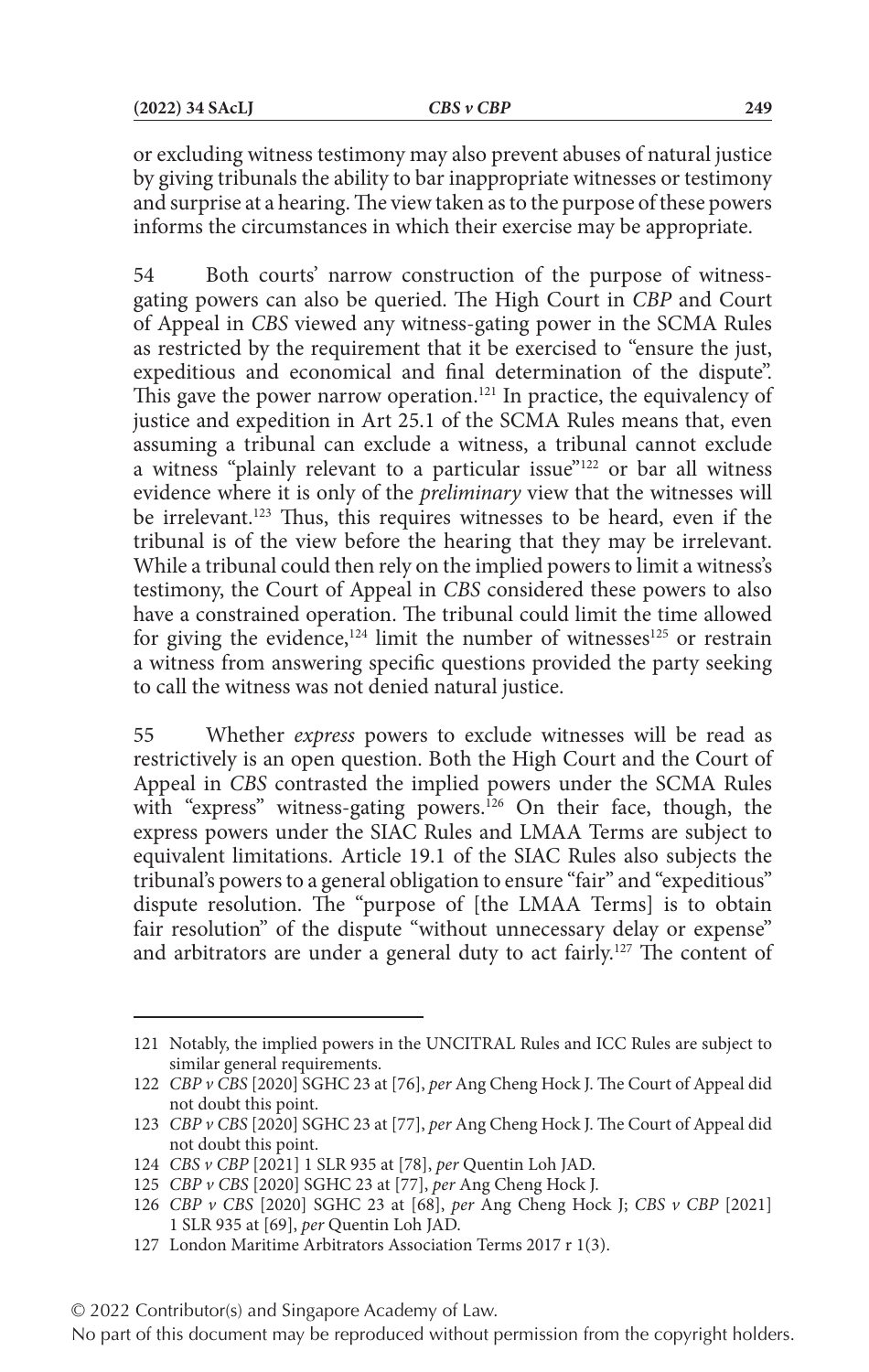or excluding witness testimony may also prevent abuses of natural justice by giving tribunals the ability to bar inappropriate witnesses or testimony and surprise at a hearing. The view taken as to the purpose of these powers informs the circumstances in which their exercise may be appropriate.

54 Both courts' narrow construction of the purpose of witnessgating powers can also be queried. The High Court in *CBP* and Court of Appeal in *CBS* viewed any witness-gating power in the SCMA Rules as restricted by the requirement that it be exercised to "ensure the just, expeditious and economical and final determination of the dispute". This gave the power narrow operation.<sup>121</sup> In practice, the equivalency of justice and expedition in Art 25.1 of the SCMA Rules means that, even assuming a tribunal can exclude a witness, a tribunal cannot exclude a witness "plainly relevant to a particular issue"122 or bar all witness evidence where it is only of the *preliminary* view that the witnesses will be irrelevant.<sup>123</sup> Thus, this requires witnesses to be heard, even if the tribunal is of the view before the hearing that they may be irrelevant. While a tribunal could then rely on the implied powers to limit a witness's testimony, the Court of Appeal in *CBS* considered these powers to also have a constrained operation. The tribunal could limit the time allowed for giving the evidence,<sup>124</sup> limit the number of witnesses<sup>125</sup> or restrain a witness from answering specific questions provided the party seeking to call the witness was not denied natural justice.

55 Whether *express* powers to exclude witnesses will be read as restrictively is an open question. Both the High Court and the Court of Appeal in *CBS* contrasted the implied powers under the SCMA Rules with "express" witness-gating powers.<sup>126</sup> On their face, though, the express powers under the SIAC Rules and LMAA Terms are subject to equivalent limitations. Article 19.1 of the SIAC Rules also subjects the tribunal's powers to a general obligation to ensure "fair" and "expeditious" dispute resolution. The "purpose of [the LMAA Terms] is to obtain fair resolution" of the dispute "without unnecessary delay or expense" and arbitrators are under a general duty to act fairly.<sup>127</sup> The content of

<sup>121</sup> Notably, the implied powers in the UNCITRAL Rules and ICC Rules are subject to similar general requirements.

<sup>122</sup> *CBP v CBS* [2020] SGHC 23 at [76], *per* Ang Cheng Hock J. The Court of Appeal did not doubt this point.

<sup>123</sup> *CBP v CBS* [2020] SGHC 23 at [77], *per* Ang Cheng Hock J. The Court of Appeal did not doubt this point.

<sup>124</sup> *CBS v CBP* [2021] 1 SLR 935 at [78], *per* Quentin Loh JAD.

<sup>125</sup> *CBP v CBS* [2020] SGHC 23 at [77], *per* Ang Cheng Hock J.

<sup>126</sup> *CBP v CBS* [2020] SGHC 23 at [68], *per* Ang Cheng Hock J; *CBS v CBP* [2021] 1 SLR 935 at [69], *per* Quentin Loh JAD.

<sup>127</sup> London Maritime Arbitrators Association Terms 2017 r 1(3).